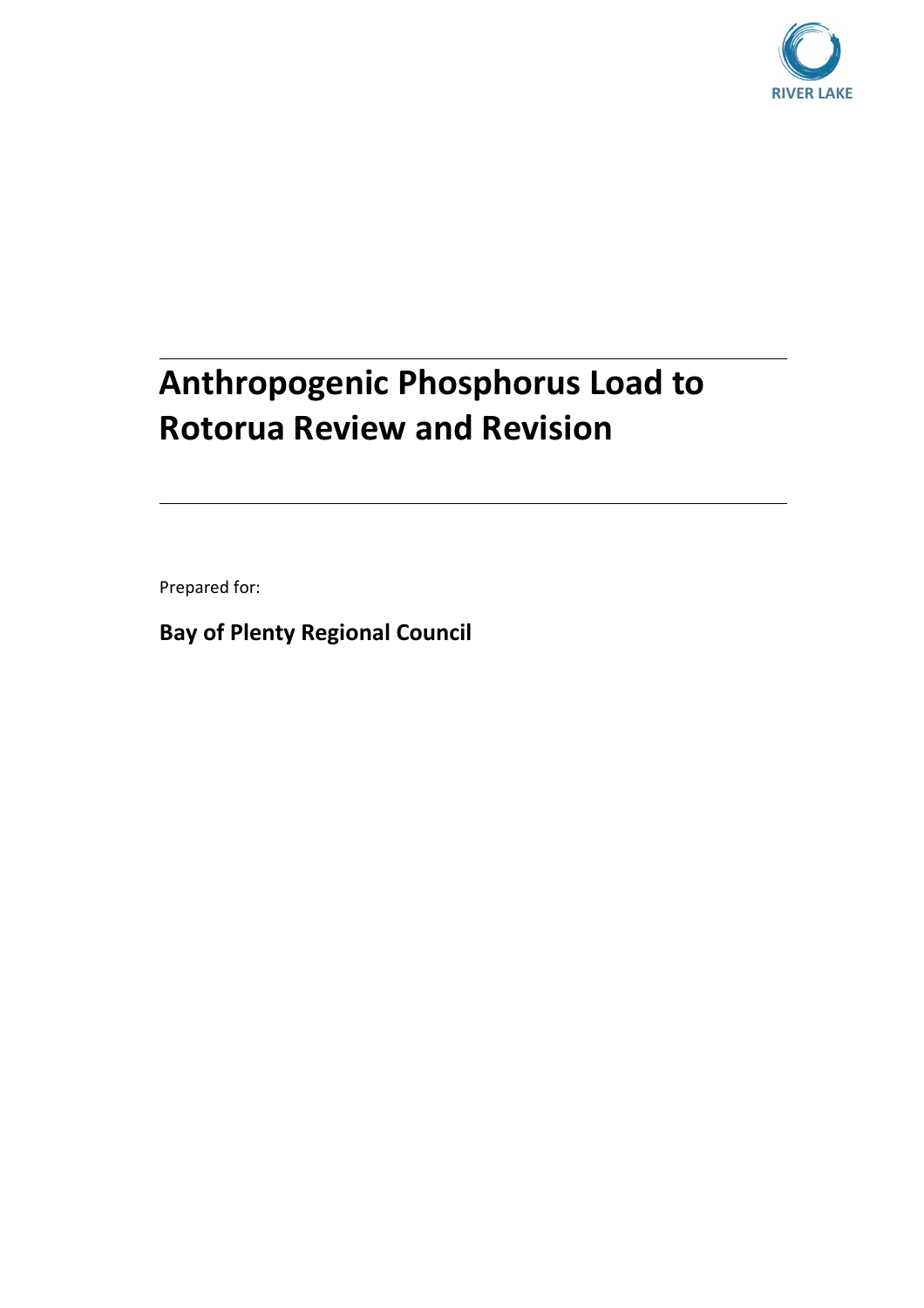

# **Anthropogenic Phosphorus Load to Rotorua Review and Revision**

Prepared for:

**Bay of Plenty Regional Council**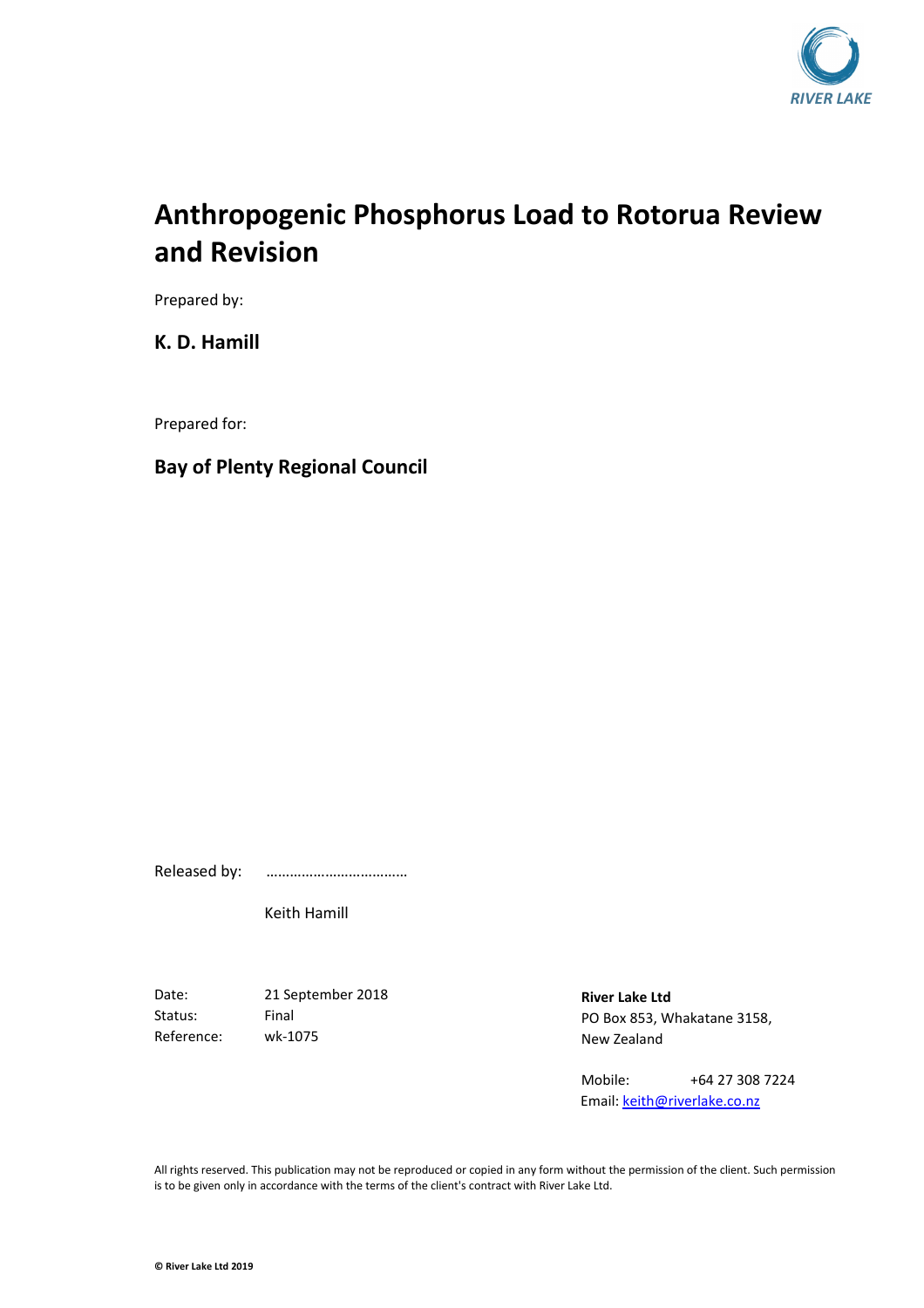

## **Anthropogenic Phosphorus Load to Rotorua Review and Revision**

Prepared by:

**K. D. Hamill** 

Prepared for:

#### **Bay of Plenty Regional Council**

Released by: ………………………………

Keith Hamill

Date: 21 September 2018 Status: Final Reference: wk-1075

**River Lake Ltd**  PO Box 853, Whakatane 3158, New Zealand

Mobile: +64 27 308 7224 Email: keith@riverlake.co.nz

All rights reserved. This publication may not be reproduced or copied in any form without the permission of the client. Such permission is to be given only in accordance with the terms of the client's contract with River Lake Ltd.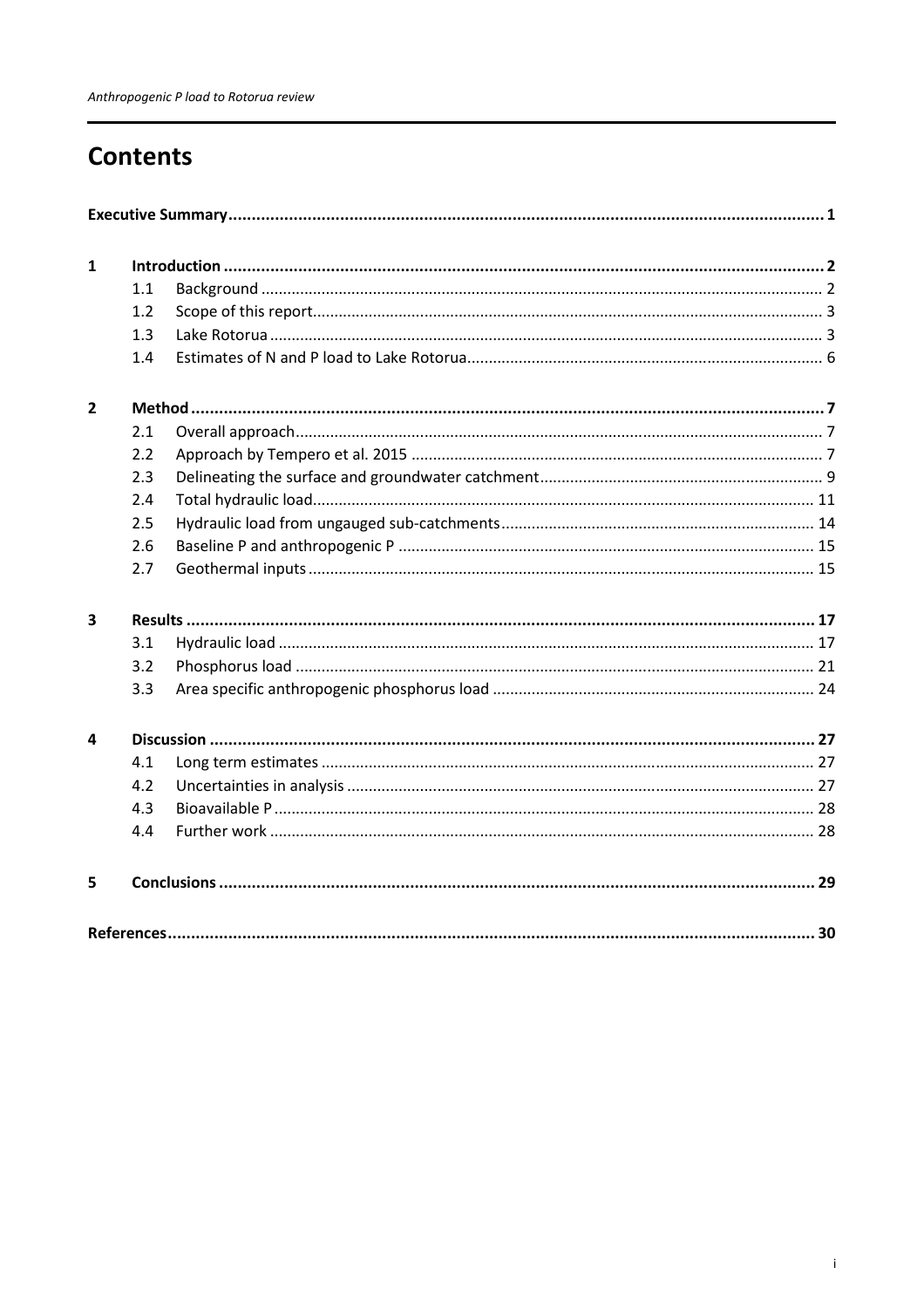## **Contents**

| $\mathbf{1}$            |     |  |  |  |  |  |  |  |  |  |  |
|-------------------------|-----|--|--|--|--|--|--|--|--|--|--|
|                         | 1.1 |  |  |  |  |  |  |  |  |  |  |
|                         | 1.2 |  |  |  |  |  |  |  |  |  |  |
|                         | 1.3 |  |  |  |  |  |  |  |  |  |  |
|                         | 1.4 |  |  |  |  |  |  |  |  |  |  |
| $\overline{2}$          |     |  |  |  |  |  |  |  |  |  |  |
|                         | 2.1 |  |  |  |  |  |  |  |  |  |  |
|                         | 2.2 |  |  |  |  |  |  |  |  |  |  |
|                         | 2.3 |  |  |  |  |  |  |  |  |  |  |
|                         | 2.4 |  |  |  |  |  |  |  |  |  |  |
|                         | 2.5 |  |  |  |  |  |  |  |  |  |  |
|                         | 2.6 |  |  |  |  |  |  |  |  |  |  |
|                         | 2.7 |  |  |  |  |  |  |  |  |  |  |
| 3                       |     |  |  |  |  |  |  |  |  |  |  |
|                         | 3.1 |  |  |  |  |  |  |  |  |  |  |
|                         | 3.2 |  |  |  |  |  |  |  |  |  |  |
|                         | 3.3 |  |  |  |  |  |  |  |  |  |  |
| $\overline{\mathbf{4}}$ |     |  |  |  |  |  |  |  |  |  |  |
|                         | 4.1 |  |  |  |  |  |  |  |  |  |  |
|                         | 4.2 |  |  |  |  |  |  |  |  |  |  |
|                         | 4.3 |  |  |  |  |  |  |  |  |  |  |
|                         | 4.4 |  |  |  |  |  |  |  |  |  |  |
| 5                       |     |  |  |  |  |  |  |  |  |  |  |
|                         |     |  |  |  |  |  |  |  |  |  |  |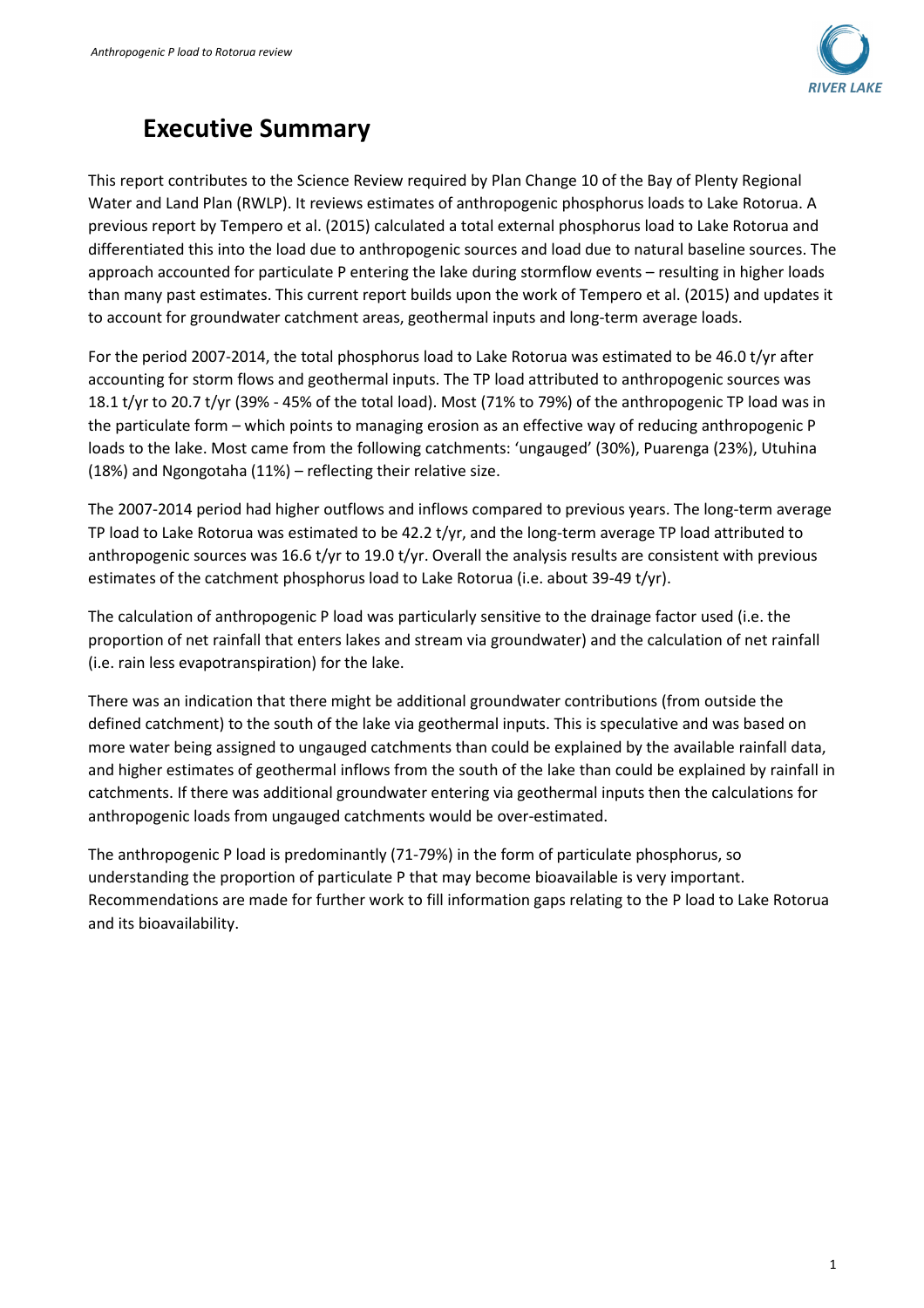

## **Executive Summary**

This report contributes to the Science Review required by Plan Change 10 of the Bay of Plenty Regional Water and Land Plan (RWLP). It reviews estimates of anthropogenic phosphorus loads to Lake Rotorua. A previous report by Tempero et al. (2015) calculated a total external phosphorus load to Lake Rotorua and differentiated this into the load due to anthropogenic sources and load due to natural baseline sources. The approach accounted for particulate P entering the lake during stormflow events – resulting in higher loads than many past estimates. This current report builds upon the work of Tempero et al. (2015) and updates it to account for groundwater catchment areas, geothermal inputs and long-term average loads.

For the period 2007-2014, the total phosphorus load to Lake Rotorua was estimated to be 46.0 t/yr after accounting for storm flows and geothermal inputs. The TP load attributed to anthropogenic sources was 18.1 t/yr to 20.7 t/yr (39% - 45% of the total load). Most (71% to 79%) of the anthropogenic TP load was in the particulate form – which points to managing erosion as an effective way of reducing anthropogenic P loads to the lake. Most came from the following catchments: 'ungauged' (30%), Puarenga (23%), Utuhina (18%) and Ngongotaha (11%) – reflecting their relative size.

The 2007-2014 period had higher outflows and inflows compared to previous years. The long-term average TP load to Lake Rotorua was estimated to be 42.2 t/yr, and the long-term average TP load attributed to anthropogenic sources was 16.6 t/yr to 19.0 t/yr. Overall the analysis results are consistent with previous estimates of the catchment phosphorus load to Lake Rotorua (i.e. about 39-49 t/yr).

The calculation of anthropogenic P load was particularly sensitive to the drainage factor used (i.e. the proportion of net rainfall that enters lakes and stream via groundwater) and the calculation of net rainfall (i.e. rain less evapotranspiration) for the lake.

There was an indication that there might be additional groundwater contributions (from outside the defined catchment) to the south of the lake via geothermal inputs. This is speculative and was based on more water being assigned to ungauged catchments than could be explained by the available rainfall data, and higher estimates of geothermal inflows from the south of the lake than could be explained by rainfall in catchments. If there was additional groundwater entering via geothermal inputs then the calculations for anthropogenic loads from ungauged catchments would be over-estimated.

The anthropogenic P load is predominantly (71-79%) in the form of particulate phosphorus, so understanding the proportion of particulate P that may become bioavailable is very important. Recommendations are made for further work to fill information gaps relating to the P load to Lake Rotorua and its bioavailability.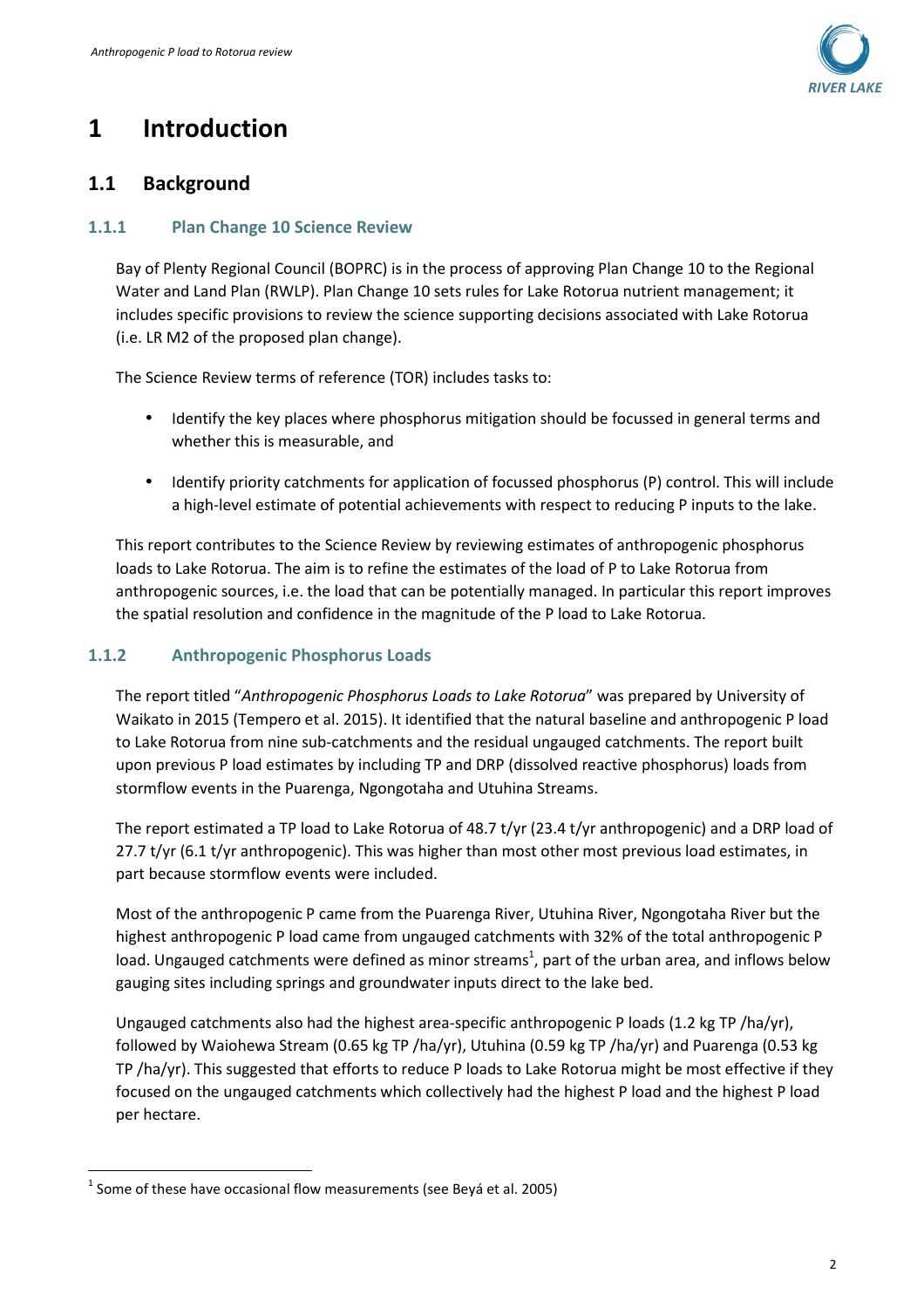

## **1 Introduction**

### **1.1 Background**

#### **1.1.1 Plan Change 10 Science Review**

Bay of Plenty Regional Council (BOPRC) is in the process of approving Plan Change 10 to the Regional Water and Land Plan (RWLP). Plan Change 10 sets rules for Lake Rotorua nutrient management; it includes specific provisions to review the science supporting decisions associated with Lake Rotorua (i.e. LR M2 of the proposed plan change).

The Science Review terms of reference (TOR) includes tasks to:

- Identify the key places where phosphorus mitigation should be focussed in general terms and whether this is measurable, and
- Identify priority catchments for application of focussed phosphorus (P) control. This will include a high-level estimate of potential achievements with respect to reducing P inputs to the lake.

This report contributes to the Science Review by reviewing estimates of anthropogenic phosphorus loads to Lake Rotorua. The aim is to refine the estimates of the load of P to Lake Rotorua from anthropogenic sources, i.e. the load that can be potentially managed. In particular this report improves the spatial resolution and confidence in the magnitude of the P load to Lake Rotorua.

#### **1.1.2 Anthropogenic Phosphorus Loads**

The report titled "*Anthropogenic Phosphorus Loads to Lake Rotorua*" was prepared by University of Waikato in 2015 (Tempero et al. 2015). It identified that the natural baseline and anthropogenic P load to Lake Rotorua from nine sub-catchments and the residual ungauged catchments. The report built upon previous P load estimates by including TP and DRP (dissolved reactive phosphorus) loads from stormflow events in the Puarenga, Ngongotaha and Utuhina Streams.

The report estimated a TP load to Lake Rotorua of 48.7 t/yr (23.4 t/yr anthropogenic) and a DRP load of 27.7 t/yr (6.1 t/yr anthropogenic). This was higher than most other most previous load estimates, in part because stormflow events were included.

Most of the anthropogenic P came from the Puarenga River, Utuhina River, Ngongotaha River but the highest anthropogenic P load came from ungauged catchments with 32% of the total anthropogenic P load. Ungauged catchments were defined as minor streams<sup>1</sup>, part of the urban area, and inflows below gauging sites including springs and groundwater inputs direct to the lake bed.

Ungauged catchments also had the highest area-specific anthropogenic P loads (1.2 kg TP /ha/yr), followed by Waiohewa Stream (0.65 kg TP /ha/yr), Utuhina (0.59 kg TP /ha/yr) and Puarenga (0.53 kg TP /ha/yr). This suggested that efforts to reduce P loads to Lake Rotorua might be most effective if they focused on the ungauged catchments which collectively had the highest P load and the highest P load per hectare.

l

 $^1$  Some of these have occasional flow measurements (see Beyá et al. 2005)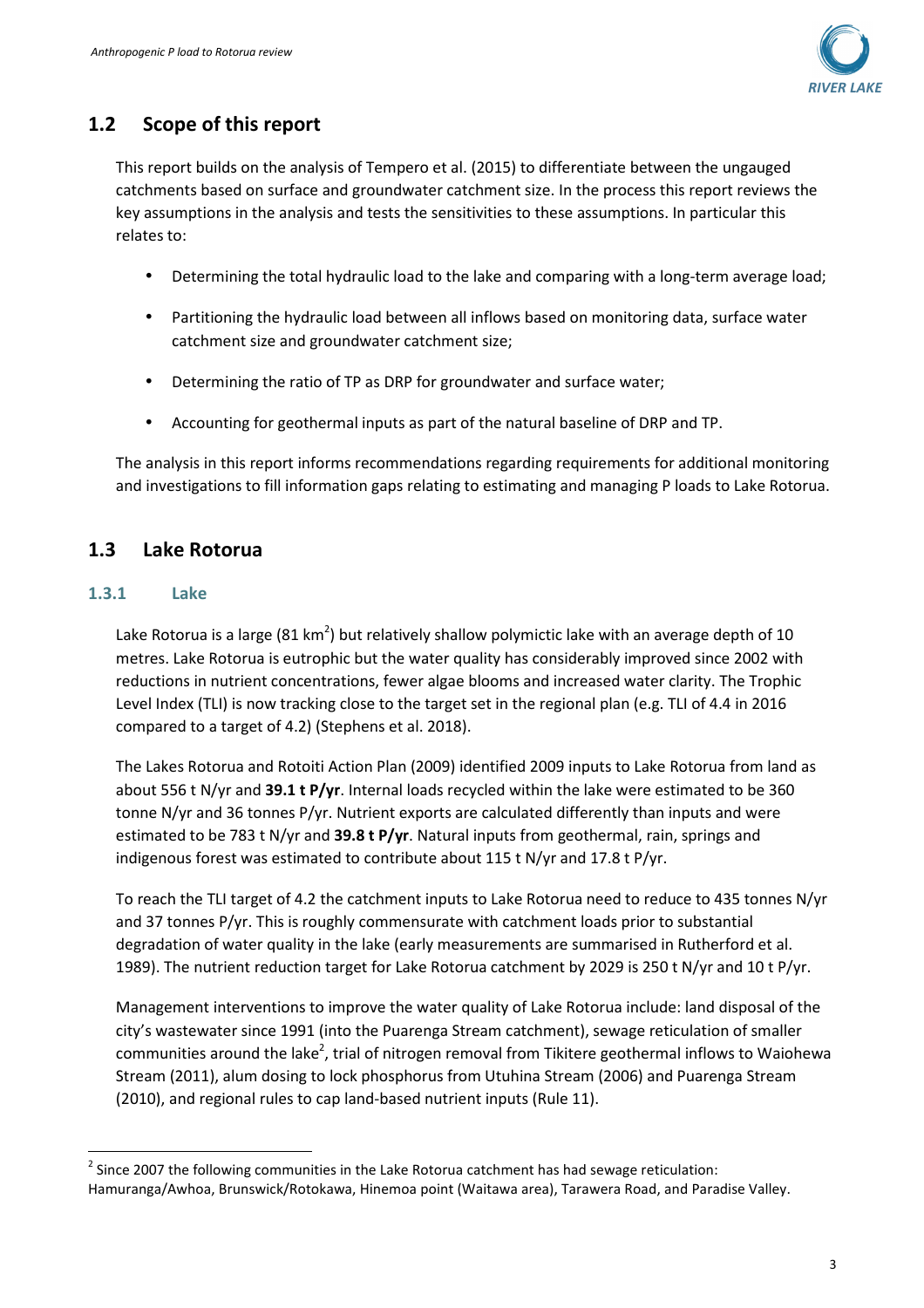

## **1.2 Scope of this report**

This report builds on the analysis of Tempero et al. (2015) to differentiate between the ungauged catchments based on surface and groundwater catchment size. In the process this report reviews the key assumptions in the analysis and tests the sensitivities to these assumptions. In particular this relates to:

- Determining the total hydraulic load to the lake and comparing with a long-term average load;
- Partitioning the hydraulic load between all inflows based on monitoring data, surface water catchment size and groundwater catchment size;
- Determining the ratio of TP as DRP for groundwater and surface water;
- Accounting for geothermal inputs as part of the natural baseline of DRP and TP.

The analysis in this report informs recommendations regarding requirements for additional monitoring and investigations to fill information gaps relating to estimating and managing P loads to Lake Rotorua.

## **1.3 Lake Rotorua**

#### **1.3.1 Lake**

l

Lake Rotorua is a large (81 km<sup>2</sup>) but relatively shallow polymictic lake with an average depth of 10 metres. Lake Rotorua is eutrophic but the water quality has considerably improved since 2002 with reductions in nutrient concentrations, fewer algae blooms and increased water clarity. The Trophic Level Index (TLI) is now tracking close to the target set in the regional plan (e.g. TLI of 4.4 in 2016 compared to a target of 4.2) (Stephens et al. 2018).

The Lakes Rotorua and Rotoiti Action Plan (2009) identified 2009 inputs to Lake Rotorua from land as about 556 t N/yr and **39.1 t P/yr**. Internal loads recycled within the lake were estimated to be 360 tonne N/yr and 36 tonnes P/yr. Nutrient exports are calculated differently than inputs and were estimated to be 783 t N/yr and **39.8 t P/yr**. Natural inputs from geothermal, rain, springs and indigenous forest was estimated to contribute about 115 t N/yr and 17.8 t P/yr.

To reach the TLI target of 4.2 the catchment inputs to Lake Rotorua need to reduce to 435 tonnes N/yr and 37 tonnes P/yr. This is roughly commensurate with catchment loads prior to substantial degradation of water quality in the lake (early measurements are summarised in Rutherford et al. 1989). The nutrient reduction target for Lake Rotorua catchment by 2029 is 250 t N/yr and 10 t P/yr.

Management interventions to improve the water quality of Lake Rotorua include: land disposal of the city's wastewater since 1991 (into the Puarenga Stream catchment), sewage reticulation of smaller communities around the lake<sup>2</sup>, trial of nitrogen removal from Tikitere geothermal inflows to Waiohewa Stream (2011), alum dosing to lock phosphorus from Utuhina Stream (2006) and Puarenga Stream (2010), and regional rules to cap land-based nutrient inputs (Rule 11).

 $2$  Since 2007 the following communities in the Lake Rotorua catchment has had sewage reticulation: Hamuranga/Awhoa, Brunswick/Rotokawa, Hinemoa point (Waitawa area), Tarawera Road, and Paradise Valley.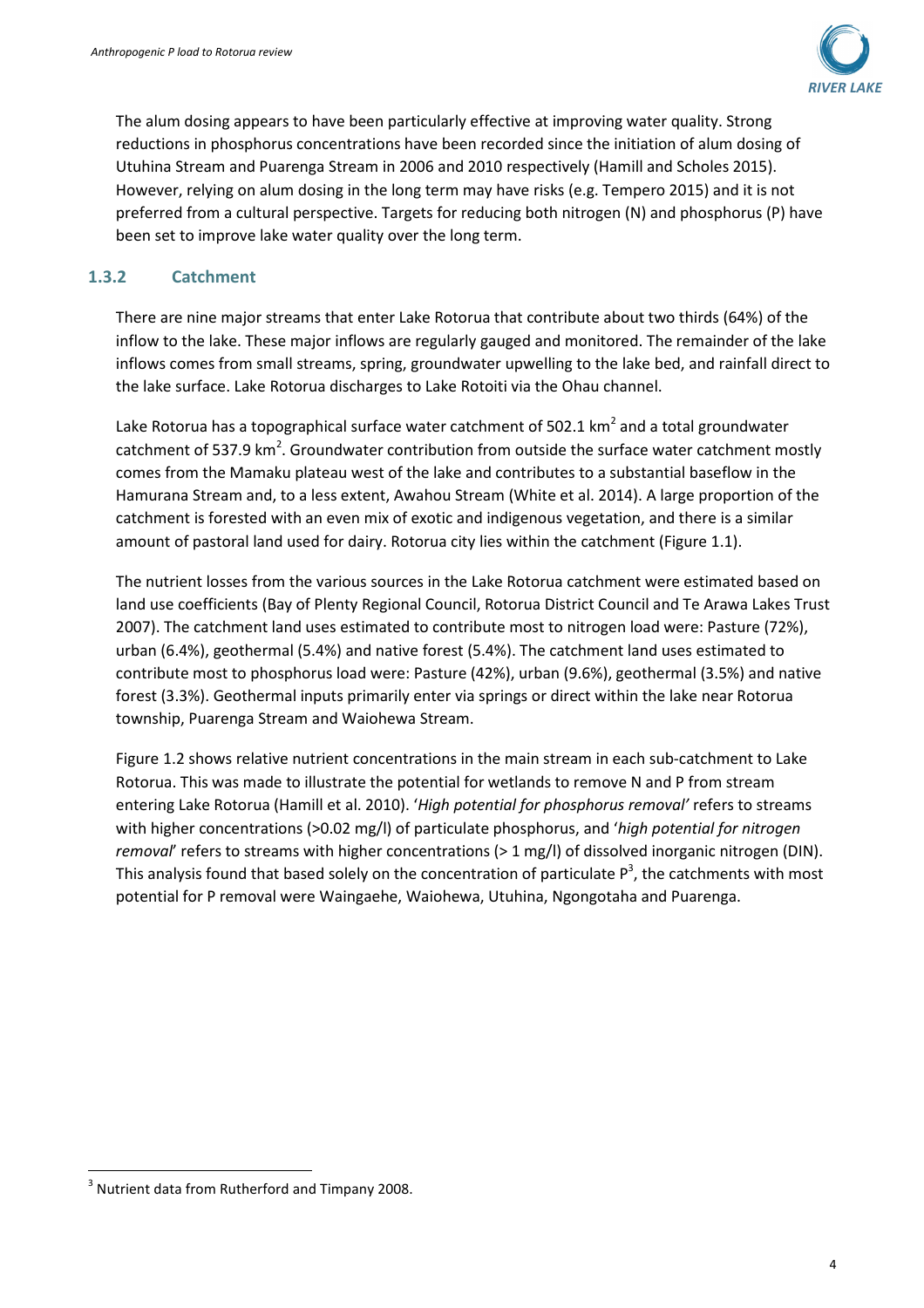

The alum dosing appears to have been particularly effective at improving water quality. Strong reductions in phosphorus concentrations have been recorded since the initiation of alum dosing of Utuhina Stream and Puarenga Stream in 2006 and 2010 respectively (Hamill and Scholes 2015). However, relying on alum dosing in the long term may have risks (e.g. Tempero 2015) and it is not preferred from a cultural perspective. Targets for reducing both nitrogen (N) and phosphorus (P) have been set to improve lake water quality over the long term.

#### **1.3.2 Catchment**

There are nine major streams that enter Lake Rotorua that contribute about two thirds (64%) of the inflow to the lake. These major inflows are regularly gauged and monitored. The remainder of the lake inflows comes from small streams, spring, groundwater upwelling to the lake bed, and rainfall direct to the lake surface. Lake Rotorua discharges to Lake Rotoiti via the Ohau channel.

Lake Rotorua has a topographical surface water catchment of 502.1  $km^2$  and a total groundwater catchment of 537.9 km<sup>2</sup>. Groundwater contribution from outside the surface water catchment mostly comes from the Mamaku plateau west of the lake and contributes to a substantial baseflow in the Hamurana Stream and, to a less extent, Awahou Stream (White et al. 2014). A large proportion of the catchment is forested with an even mix of exotic and indigenous vegetation, and there is a similar amount of pastoral land used for dairy. Rotorua city lies within the catchment (Figure 1.1).

The nutrient losses from the various sources in the Lake Rotorua catchment were estimated based on land use coefficients (Bay of Plenty Regional Council, Rotorua District Council and Te Arawa Lakes Trust 2007). The catchment land uses estimated to contribute most to nitrogen load were: Pasture (72%), urban (6.4%), geothermal (5.4%) and native forest (5.4%). The catchment land uses estimated to contribute most to phosphorus load were: Pasture (42%), urban (9.6%), geothermal (3.5%) and native forest (3.3%). Geothermal inputs primarily enter via springs or direct within the lake near Rotorua township, Puarenga Stream and Waiohewa Stream.

Figure 1.2 shows relative nutrient concentrations in the main stream in each sub-catchment to Lake Rotorua. This was made to illustrate the potential for wetlands to remove N and P from stream entering Lake Rotorua (Hamill et al. 2010). '*High potential for phosphorus removal'* refers to streams with higher concentrations (>0.02 mg/l) of particulate phosphorus, and '*high potential for nitrogen removal*' refers to streams with higher concentrations (> 1 mg/l) of dissolved inorganic nitrogen (DIN). This analysis found that based solely on the concentration of particulate  $P^3$ , the catchments with most potential for P removal were Waingaehe, Waiohewa, Utuhina, Ngongotaha and Puarenga.

l

 $3$  Nutrient data from Rutherford and Timpany 2008.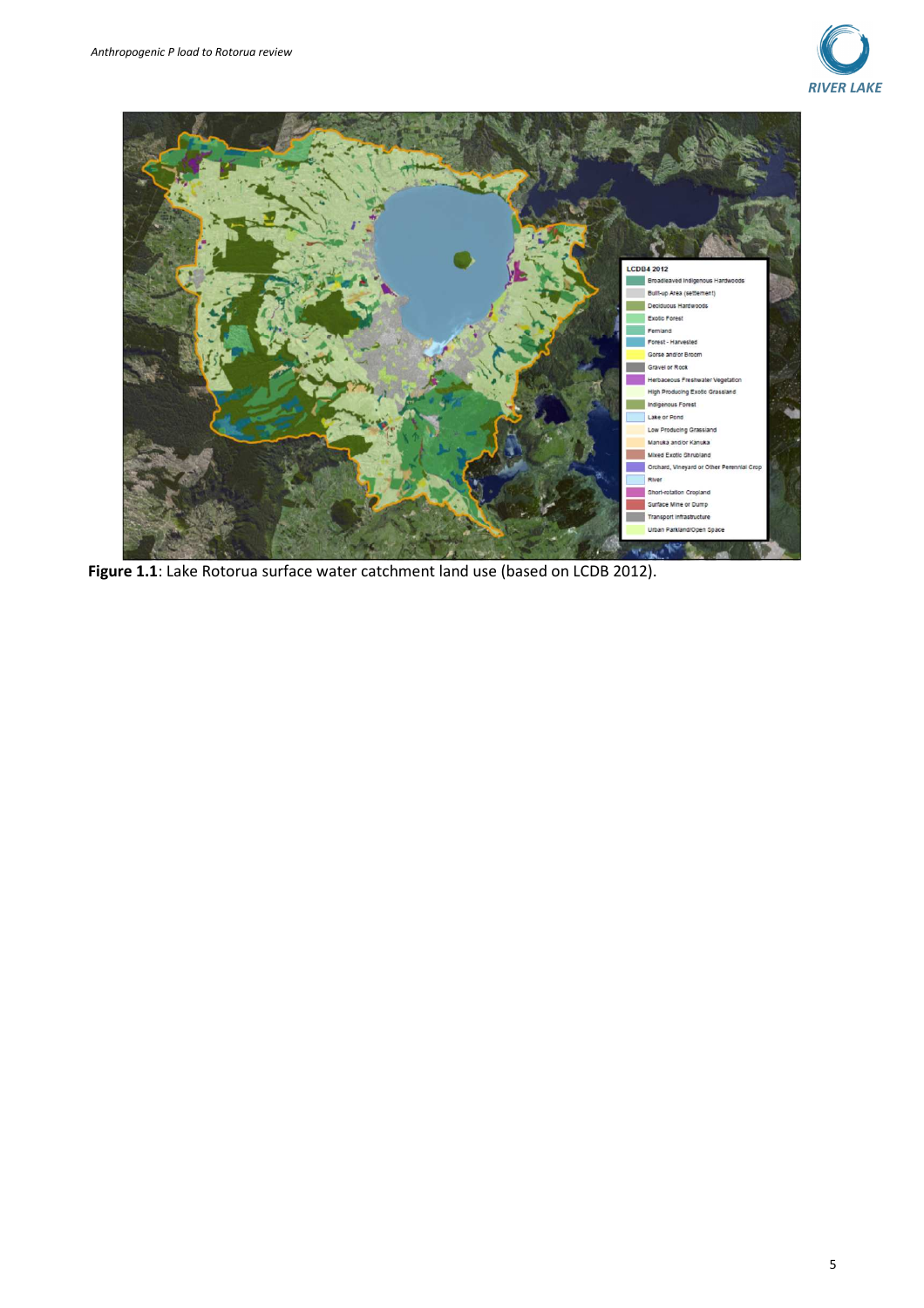



Figure 1.1: Lake Rotorua surface water catchment land use (based on LCDB 2012).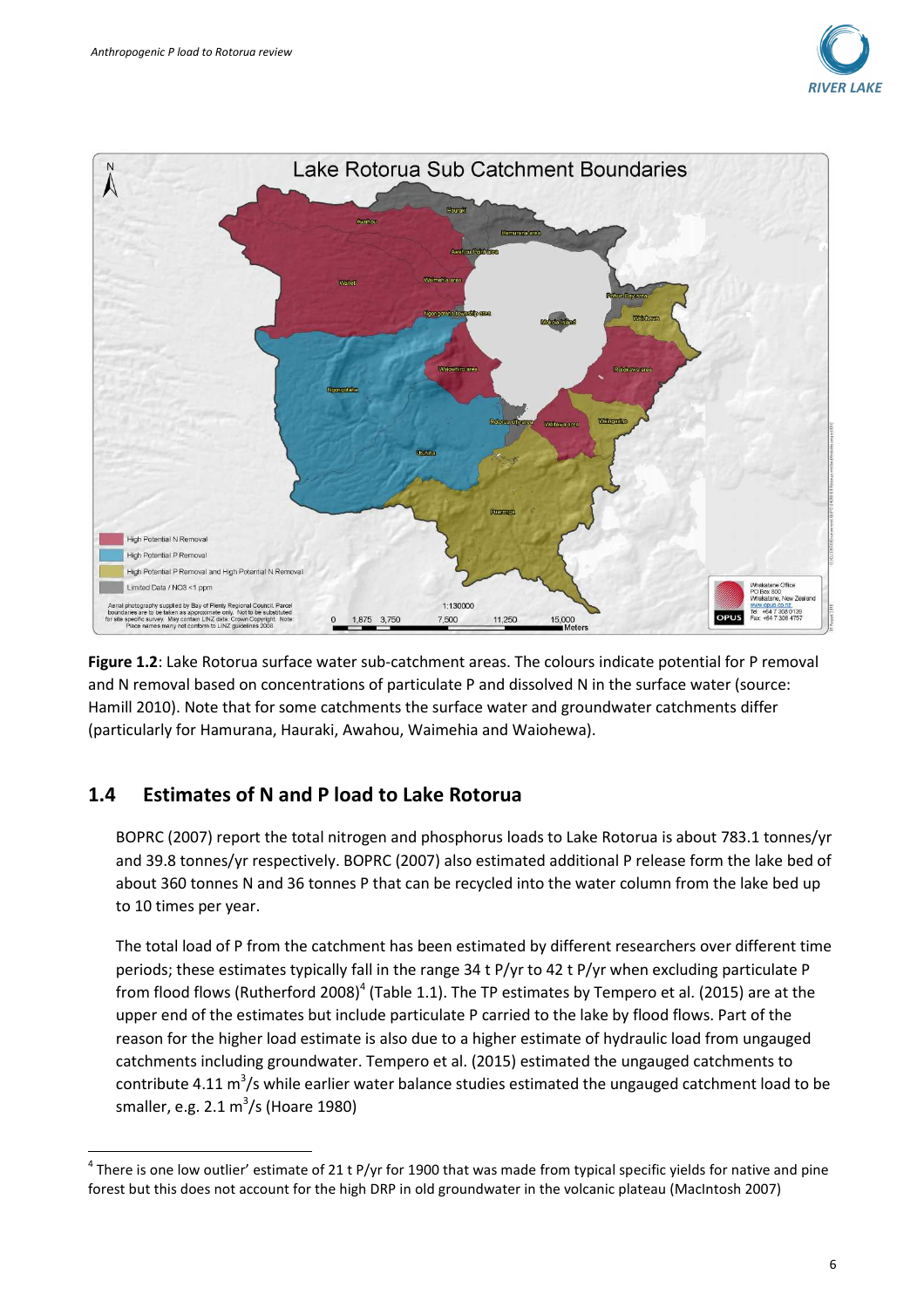



**Figure 1.2**: Lake Rotorua surface water sub-catchment areas. The colours indicate potential for P removal and N removal based on concentrations of particulate P and dissolved N in the surface water (source: Hamill 2010). Note that for some catchments the surface water and groundwater catchments differ (particularly for Hamurana, Hauraki, Awahou, Waimehia and Waiohewa).

### **1.4 Estimates of N and P load to Lake Rotorua**

l

BOPRC (2007) report the total nitrogen and phosphorus loads to Lake Rotorua is about 783.1 tonnes/yr and 39.8 tonnes/yr respectively. BOPRC (2007) also estimated additional P release form the lake bed of about 360 tonnes N and 36 tonnes P that can be recycled into the water column from the lake bed up to 10 times per year.

The total load of P from the catchment has been estimated by different researchers over different time periods; these estimates typically fall in the range 34 t P/yr to 42 t P/yr when excluding particulate P from flood flows (Rutherford 2008)<sup>4</sup> (Table 1.1). The TP estimates by Tempero et al. (2015) are at the upper end of the estimates but include particulate P carried to the lake by flood flows. Part of the reason for the higher load estimate is also due to a higher estimate of hydraulic load from ungauged catchments including groundwater. Tempero et al. (2015) estimated the ungauged catchments to contribute 4.11  $\text{m}^3$ /s while earlier water balance studies estimated the ungauged catchment load to be smaller, e.g. 2.1  $\text{m}^3\text{/s}$  (Hoare 1980)

 $^4$  There is one low outlier' estimate of 21 t P/yr for 1900 that was made from typical specific yields for native and pine forest but this does not account for the high DRP in old groundwater in the volcanic plateau (MacIntosh 2007)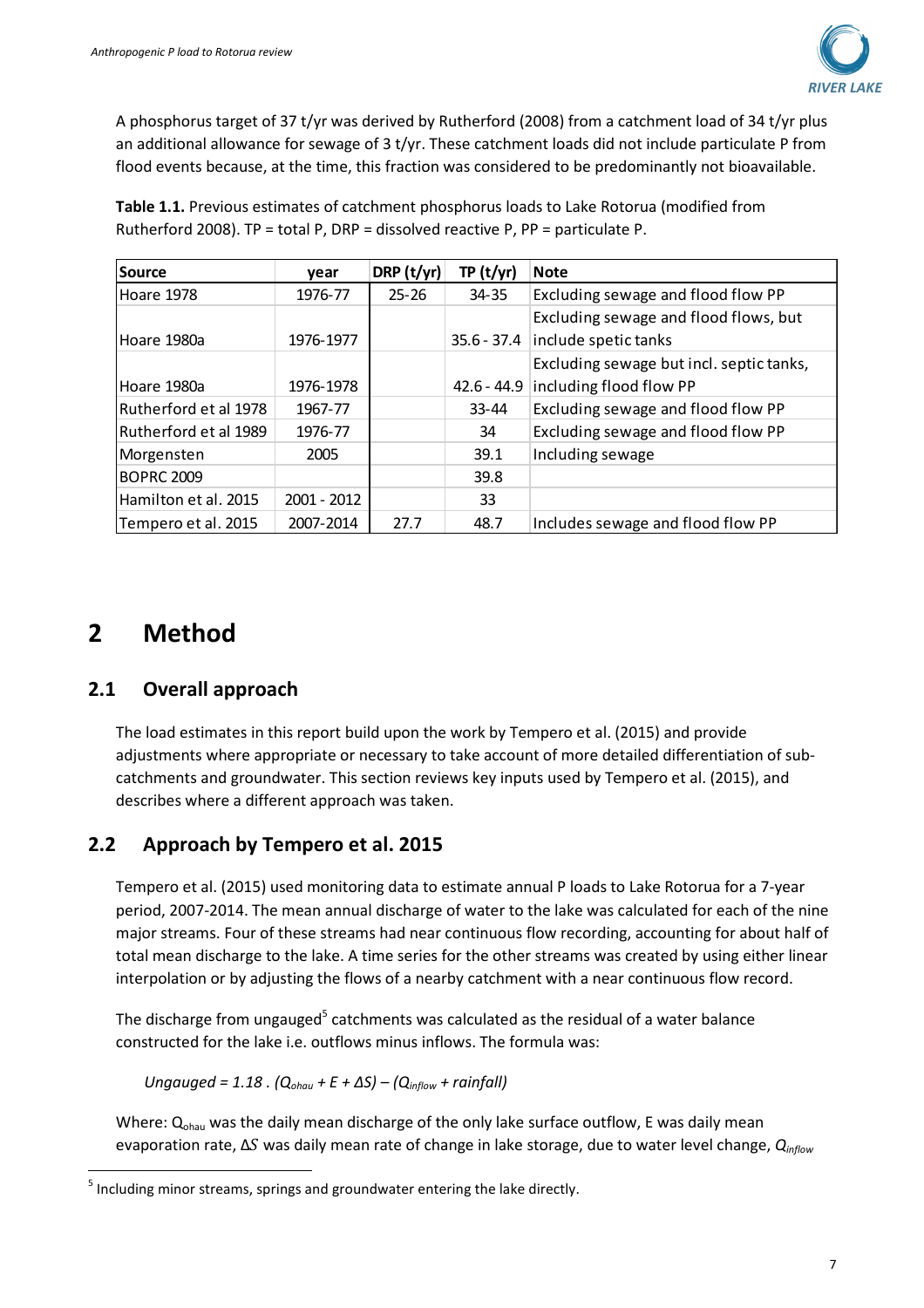

A phosphorus target of 37 t/yr was derived by Rutherford (2008) from a catchment load of 34 t/yr plus an additional allowance for sewage of 3 t/yr. These catchment loads did not include particulate P from flood events because, at the time, this fraction was considered to be predominantly not bioavailable.

| Source                | vear        | DRP $(t/yr)$ | TP(t/yr)      | <b>Note</b>                              |
|-----------------------|-------------|--------------|---------------|------------------------------------------|
| Hoare 1978            | 1976-77     | $25 - 26$    | 34-35         | Excluding sewage and flood flow PP       |
|                       |             |              |               | Excluding sewage and flood flows, but    |
| lHoare 1980a          | 1976-1977   |              | $35.6 - 37.4$ | include spetic tanks                     |
|                       |             |              |               | Excluding sewage but incl. septic tanks, |
| Hoare 1980a           | 1976-1978   |              | $42.6 - 44.9$ | including flood flow PP                  |
| Rutherford et al 1978 | 1967-77     |              | $33 - 44$     | Excluding sewage and flood flow PP       |
| Rutherford et al 1989 | 1976-77     |              | 34            | Excluding sewage and flood flow PP       |
| Morgensten            | 2005        |              | 39.1          | Including sewage                         |
| <b>BOPRC 2009</b>     |             |              | 39.8          |                                          |
| Hamilton et al. 2015  | 2001 - 2012 |              | 33            |                                          |
| Tempero et al. 2015   | 2007-2014   | 27.7         | 48.7          | Includes sewage and flood flow PP        |

**Table 1.1.** Previous estimates of catchment phosphorus loads to Lake Rotorua (modified from Rutherford 2008). TP = total P, DRP = dissolved reactive P, PP = particulate P.

## **2 Method**

l

## **2.1 Overall approach**

The load estimates in this report build upon the work by Tempero et al. (2015) and provide adjustments where appropriate or necessary to take account of more detailed differentiation of subcatchments and groundwater. This section reviews key inputs used by Tempero et al. (2015), and describes where a different approach was taken.

## **2.2 Approach by Tempero et al. 2015**

Tempero et al. (2015) used monitoring data to estimate annual P loads to Lake Rotorua for a 7-year period, 2007-2014. The mean annual discharge of water to the lake was calculated for each of the nine major streams. Four of these streams had near continuous flow recording, accounting for about half of total mean discharge to the lake. A time series for the other streams was created by using either linear interpolation or by adjusting the flows of a nearby catchment with a near continuous flow record.

The discharge from ungauged<sup>5</sup> catchments was calculated as the residual of a water balance constructed for the lake i.e. outflows minus inflows. The formula was:

*Ungauged = 1.18 . (Qohau + E + ΔS) – (Qinflow + rainfall)*

Where:  $Q_{\text{ohau}}$  was the daily mean discharge of the only lake surface outflow, E was daily mean evaporation rate, ΔS was daily mean rate of change in lake storage, due to water level change, Q<sub>inflow</sub>

 $<sup>5</sup>$  Including minor streams, springs and groundwater entering the lake directly.</sup>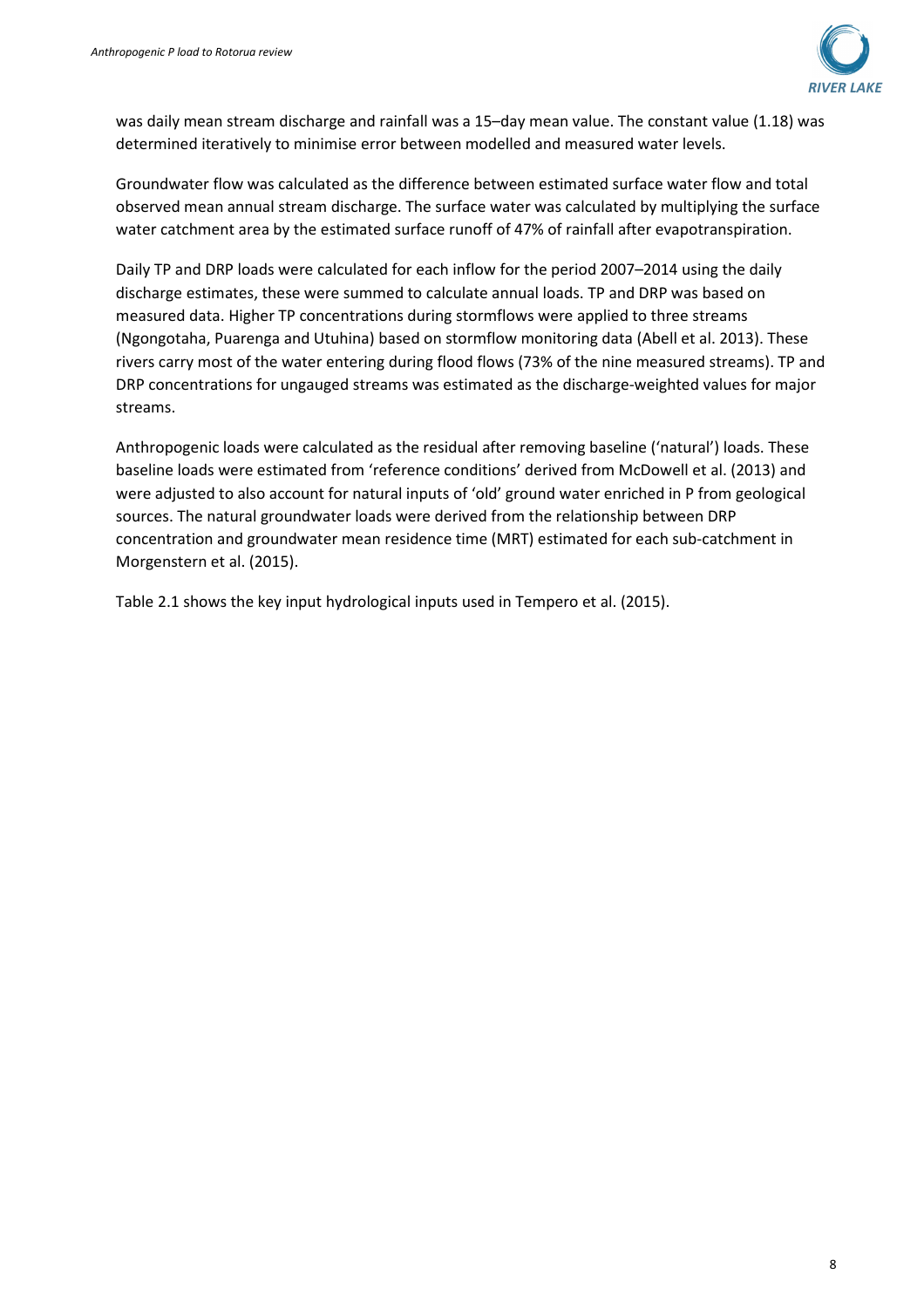

was daily mean stream discharge and rainfall was a 15–day mean value. The constant value (1.18) was determined iteratively to minimise error between modelled and measured water levels.

Groundwater flow was calculated as the difference between estimated surface water flow and total observed mean annual stream discharge. The surface water was calculated by multiplying the surface water catchment area by the estimated surface runoff of 47% of rainfall after evapotranspiration.

Daily TP and DRP loads were calculated for each inflow for the period 2007–2014 using the daily discharge estimates, these were summed to calculate annual loads. TP and DRP was based on measured data. Higher TP concentrations during stormflows were applied to three streams (Ngongotaha, Puarenga and Utuhina) based on stormflow monitoring data (Abell et al. 2013). These rivers carry most of the water entering during flood flows (73% of the nine measured streams). TP and DRP concentrations for ungauged streams was estimated as the discharge-weighted values for major streams.

Anthropogenic loads were calculated as the residual after removing baseline ('natural') loads. These baseline loads were estimated from 'reference conditions' derived from McDowell et al. (2013) and were adjusted to also account for natural inputs of 'old' ground water enriched in P from geological sources. The natural groundwater loads were derived from the relationship between DRP concentration and groundwater mean residence time (MRT) estimated for each sub-catchment in Morgenstern et al. (2015).

Table 2.1 shows the key input hydrological inputs used in Tempero et al. (2015).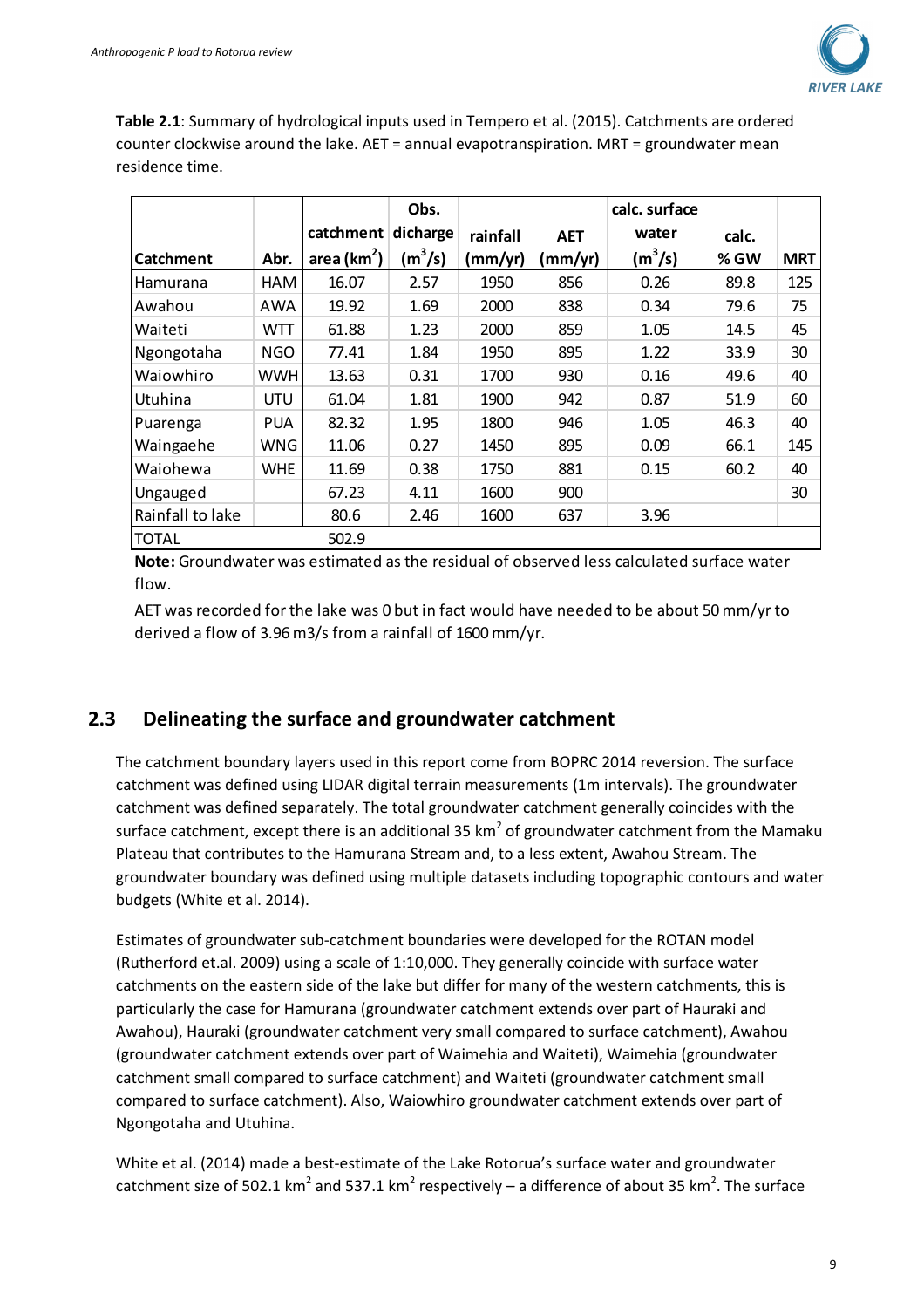

**Table 2.1**: Summary of hydrological inputs used in Tempero et al. (2015). Catchments are ordered counter clockwise around the lake. AET = annual evapotranspiration. MRT = groundwater mean residence time.

|                  |            |                | Obs.      |          |            | calc. surface |       |            |
|------------------|------------|----------------|-----------|----------|------------|---------------|-------|------------|
|                  |            | catchment      | dicharge  | rainfall | <b>AET</b> | water         | calc. |            |
| Catchment        | Abr.       | area ( $km2$ ) | $(m^3/s)$ | (mm/yr)  | (mm/yr)    | $(m^3/s)$     | % GW  | <b>MRT</b> |
| Hamurana         | HAM        | 16.07          | 2.57      | 1950     | 856        | 0.26          | 89.8  | 125        |
| Awahou           | AWA        | 19.92          | 1.69      | 2000     | 838        | 0.34          | 79.6  | 75         |
| Waiteti          | WTT        | 61.88          | 1.23      | 2000     | 859        | 1.05          | 14.5  | 45         |
| Ngongotaha       | <b>NGO</b> | 77.41          | 1.84      | 1950     | 895        | 1.22          | 33.9  | 30         |
| Waiowhiro        | WWH        | 13.63          | 0.31      | 1700     | 930        | 0.16          | 49.6  | 40         |
| Utuhina          | <b>UTU</b> | 61.04          | 1.81      | 1900     | 942        | 0.87          | 51.9  | 60         |
| Puarenga         | <b>PUA</b> | 82.32          | 1.95      | 1800     | 946        | 1.05          | 46.3  | 40         |
| Waingaehe        | WNG        | 11.06          | 0.27      | 1450     | 895        | 0.09          | 66.1  | 145        |
| Waiohewa         | <b>WHE</b> | 11.69          | 0.38      | 1750     | 881        | 0.15          | 60.2  | 40         |
| Ungauged         |            | 67.23          | 4.11      | 1600     | 900        |               |       | 30         |
| Rainfall to lake |            | 80.6           | 2.46      | 1600     | 637        | 3.96          |       |            |
| <b>TOTAL</b>     |            | 502.9          |           |          |            |               |       |            |

**Note:** Groundwater was estimated as the residual of observed less calculated surface water flow.

AET was recorded for the lake was 0 but in fact would have needed to be about 50 mm/yr to derived a flow of 3.96 m3/s from a rainfall of 1600 mm/yr.

#### **2.3 Delineating the surface and groundwater catchment**

The catchment boundary layers used in this report come from BOPRC 2014 reversion. The surface catchment was defined using LIDAR digital terrain measurements (1m intervals). The groundwater catchment was defined separately. The total groundwater catchment generally coincides with the surface catchment, except there is an additional 35 km<sup>2</sup> of groundwater catchment from the Mamaku Plateau that contributes to the Hamurana Stream and, to a less extent, Awahou Stream. The groundwater boundary was defined using multiple datasets including topographic contours and water budgets (White et al. 2014).

Estimates of groundwater sub-catchment boundaries were developed for the ROTAN model (Rutherford et.al. 2009) using a scale of 1:10,000. They generally coincide with surface water catchments on the eastern side of the lake but differ for many of the western catchments, this is particularly the case for Hamurana (groundwater catchment extends over part of Hauraki and Awahou), Hauraki (groundwater catchment very small compared to surface catchment), Awahou (groundwater catchment extends over part of Waimehia and Waiteti), Waimehia (groundwater catchment small compared to surface catchment) and Waiteti (groundwater catchment small compared to surface catchment). Also, Waiowhiro groundwater catchment extends over part of Ngongotaha and Utuhina.

White et al. (2014) made a best-estimate of the Lake Rotorua's surface water and groundwater catchment size of 502.1 km<sup>2</sup> and 537.1 km<sup>2</sup> respectively – a difference of about 35 km<sup>2</sup>. The surface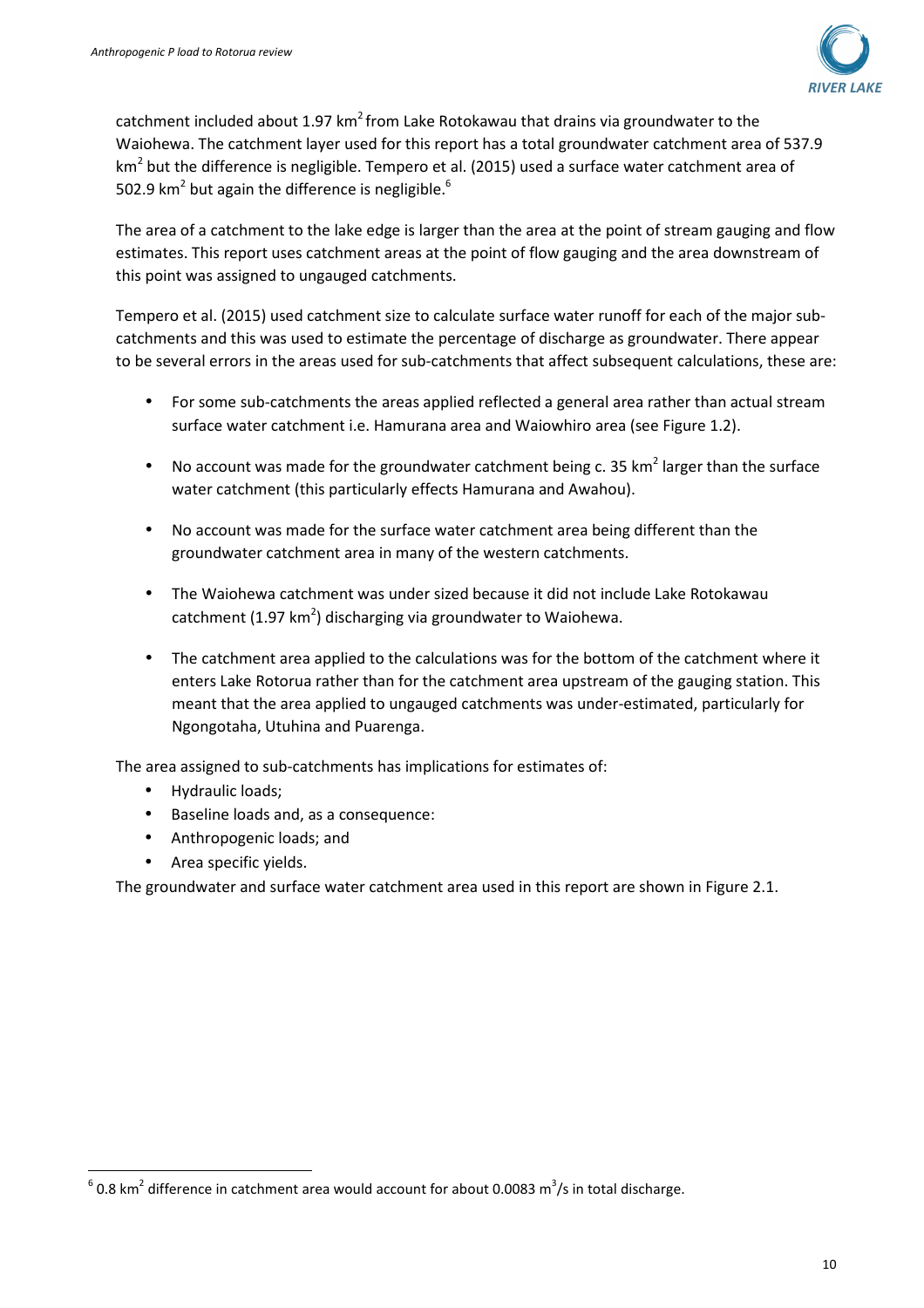

catchment included about 1.97 km<sup>2</sup> from Lake Rotokawau that drains via groundwater to the Waiohewa. The catchment layer used for this report has a total groundwater catchment area of 537.9 km<sup>2</sup> but the difference is negligible. Tempero et al. (2015) used a surface water catchment area of 502.9 km<sup>2</sup> but again the difference is negligible.<sup>6</sup>

The area of a catchment to the lake edge is larger than the area at the point of stream gauging and flow estimates. This report uses catchment areas at the point of flow gauging and the area downstream of this point was assigned to ungauged catchments.

Tempero et al. (2015) used catchment size to calculate surface water runoff for each of the major subcatchments and this was used to estimate the percentage of discharge as groundwater. There appear to be several errors in the areas used for sub-catchments that affect subsequent calculations, these are:

- For some sub-catchments the areas applied reflected a general area rather than actual stream surface water catchment i.e. Hamurana area and Waiowhiro area (see Figure 1.2).
- No account was made for the groundwater catchment being c. 35 km<sup>2</sup> larger than the surface water catchment (this particularly effects Hamurana and Awahou).
- No account was made for the surface water catchment area being different than the groundwater catchment area in many of the western catchments.
- The Waiohewa catchment was under sized because it did not include Lake Rotokawau catchment (1.97 km<sup>2</sup>) discharging via groundwater to Waiohewa.
- The catchment area applied to the calculations was for the bottom of the catchment where it enters Lake Rotorua rather than for the catchment area upstream of the gauging station. This meant that the area applied to ungauged catchments was under-estimated, particularly for Ngongotaha, Utuhina and Puarenga.

The area assigned to sub-catchments has implications for estimates of:

• Hydraulic loads;

l

- Baseline loads and, as a consequence:
- Anthropogenic loads; and
- Area specific yields.

The groundwater and surface water catchment area used in this report are shown in Figure 2.1.

 $^6$  0.8 km<sup>2</sup> difference in catchment area would account for about 0.0083 m<sup>3</sup>/s in total discharge.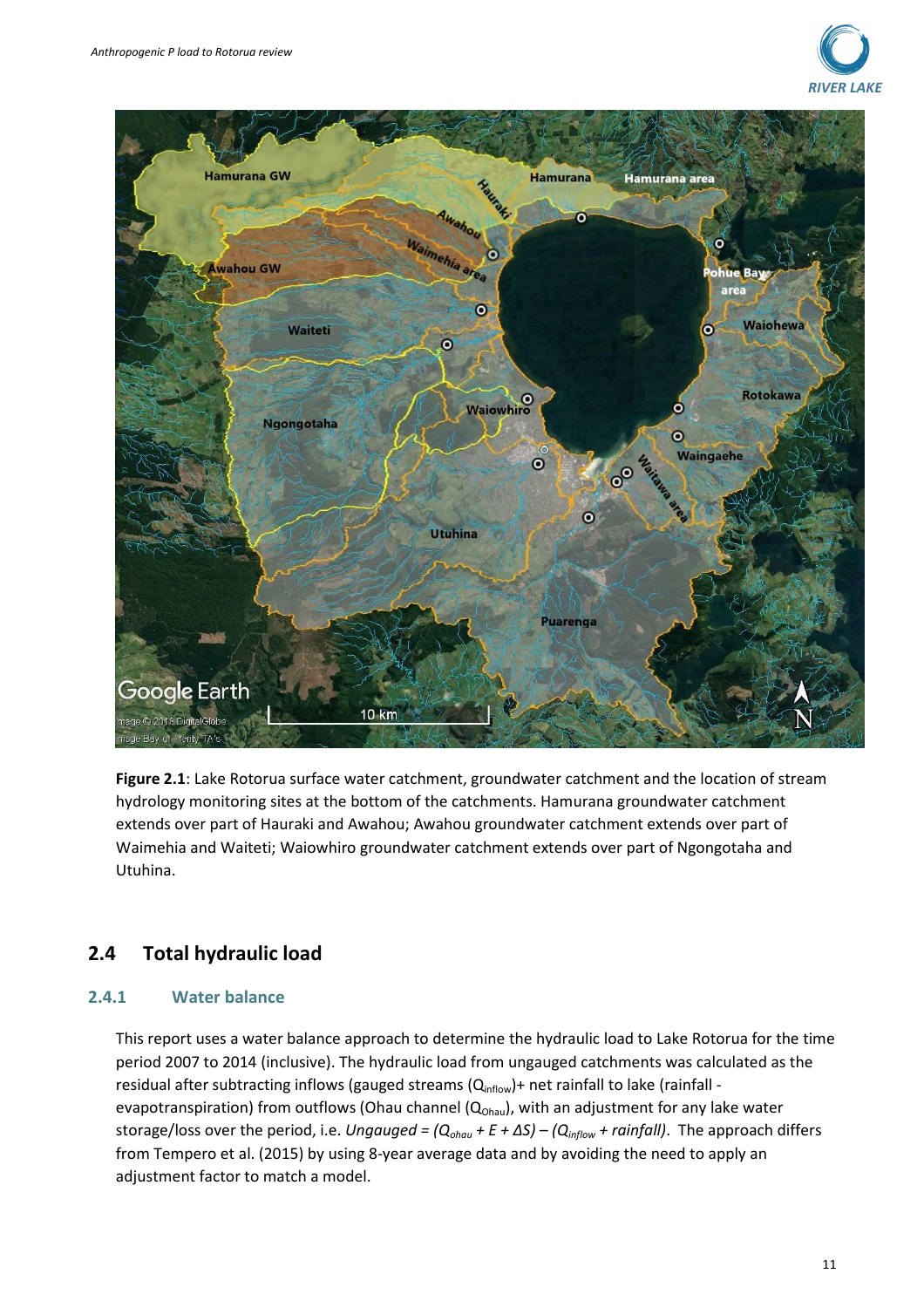



**Figure 2.1**: Lake Rotorua surface water catchment, groundwater catchment and the location of stream hydrology monitoring sites at the bottom of the catchments. Hamurana groundwater catchment extends over part of Hauraki and Awahou; Awahou groundwater catchment extends over part of Waimehia and Waiteti; Waiowhiro groundwater catchment extends over part of Ngongotaha and Utuhina.

### **2.4 Total hydraulic load**

#### **2.4.1 Water balance**

This report uses a water balance approach to determine the hydraulic load to Lake Rotorua for the time period 2007 to 2014 (inclusive). The hydraulic load from ungauged catchments was calculated as the residual after subtracting inflows (gauged streams (Q<sub>inflow</sub>)+ net rainfall to lake (rainfall evapotranspiration) from outflows (Ohau channel ( $Q<sub>ohau</sub>$ ), with an adjustment for any lake water storage/loss over the period, i.e. *Ungauged = (Qohau + E + ΔS) – (Qinflow + rainfall)*. The approach differs from Tempero et al. (2015) by using 8-year average data and by avoiding the need to apply an adjustment factor to match a model.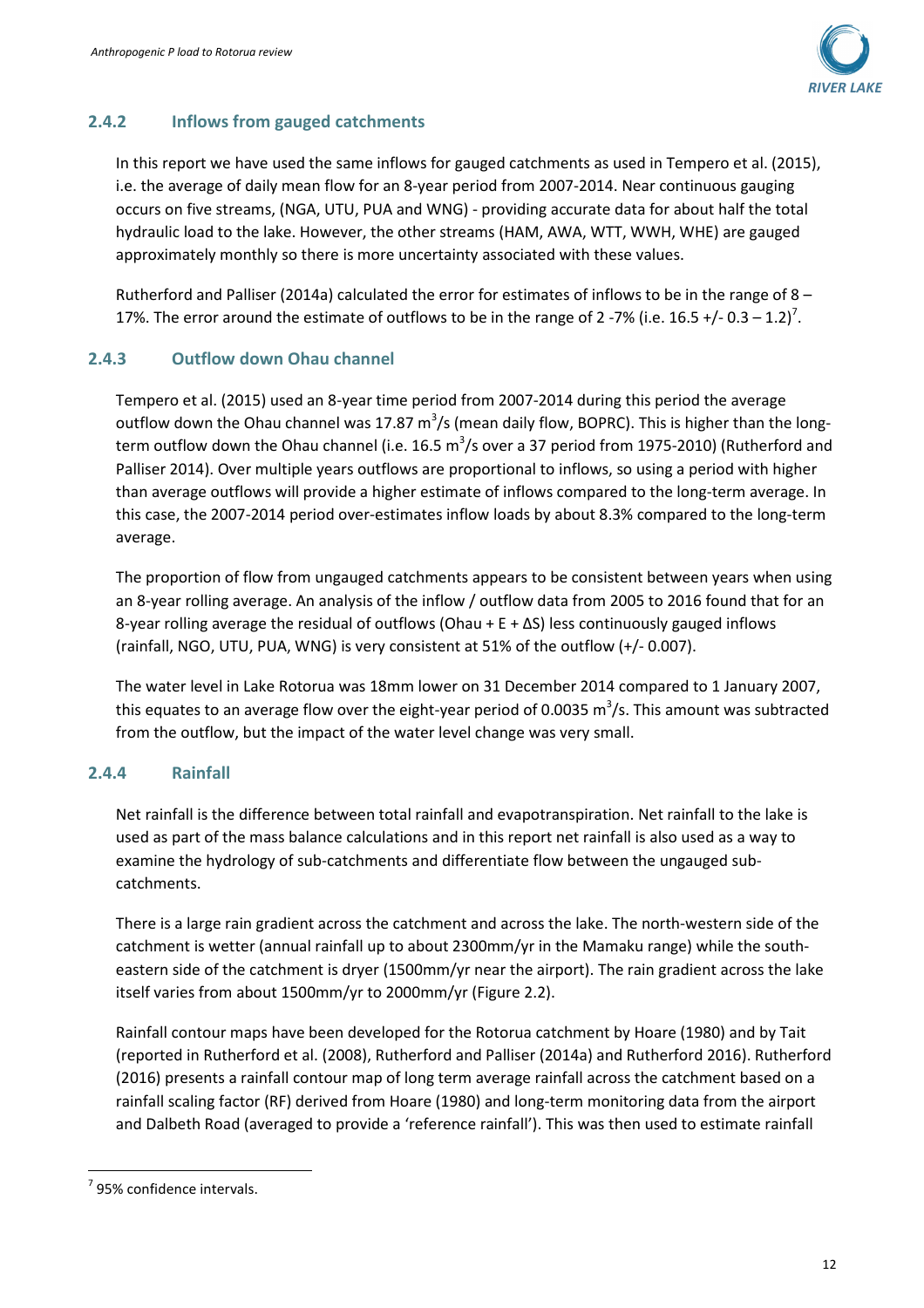

#### **2.4.2 Inflows from gauged catchments**

In this report we have used the same inflows for gauged catchments as used in Tempero et al. (2015), i.e. the average of daily mean flow for an 8-year period from 2007-2014. Near continuous gauging occurs on five streams, (NGA, UTU, PUA and WNG) - providing accurate data for about half the total hydraulic load to the lake. However, the other streams (HAM, AWA, WTT, WWH, WHE) are gauged approximately monthly so there is more uncertainty associated with these values.

Rutherford and Palliser (2014a) calculated the error for estimates of inflows to be in the range of 8 – 17%. The error around the estimate of outflows to be in the range of 2-7% (i.e. 16.5 +/- 0.3 – 1.2)<sup>7</sup>.

#### **2.4.3 Outflow down Ohau channel**

Tempero et al. (2015) used an 8-year time period from 2007-2014 during this period the average outflow down the Ohau channel was 17.87 m<sup>3</sup>/s (mean daily flow, BOPRC). This is higher than the longterm outflow down the Ohau channel (i.e. 16.5 m<sup>3</sup>/s over a 37 period from 1975-2010) (Rutherford and Palliser 2014). Over multiple years outflows are proportional to inflows, so using a period with higher than average outflows will provide a higher estimate of inflows compared to the long-term average. In this case, the 2007-2014 period over-estimates inflow loads by about 8.3% compared to the long-term average.

The proportion of flow from ungauged catchments appears to be consistent between years when using an 8-year rolling average. An analysis of the inflow / outflow data from 2005 to 2016 found that for an 8-year rolling average the residual of outflows (Ohau +  $E + \Delta S$ ) less continuously gauged inflows (rainfall, NGO, UTU, PUA, WNG) is very consistent at 51% of the outflow (+/- 0.007).

The water level in Lake Rotorua was 18mm lower on 31 December 2014 compared to 1 January 2007, this equates to an average flow over the eight-year period of 0.0035 m<sup>3</sup>/s. This amount was subtracted from the outflow, but the impact of the water level change was very small.

#### **2.4.4 Rainfall**

Net rainfall is the difference between total rainfall and evapotranspiration. Net rainfall to the lake is used as part of the mass balance calculations and in this report net rainfall is also used as a way to examine the hydrology of sub-catchments and differentiate flow between the ungauged subcatchments.

There is a large rain gradient across the catchment and across the lake. The north-western side of the catchment is wetter (annual rainfall up to about 2300mm/yr in the Mamaku range) while the southeastern side of the catchment is dryer (1500mm/yr near the airport). The rain gradient across the lake itself varies from about 1500mm/yr to 2000mm/yr (Figure 2.2).

Rainfall contour maps have been developed for the Rotorua catchment by Hoare (1980) and by Tait (reported in Rutherford et al. (2008), Rutherford and Palliser (2014a) and Rutherford 2016). Rutherford (2016) presents a rainfall contour map of long term average rainfall across the catchment based on a rainfall scaling factor (RF) derived from Hoare (1980) and long-term monitoring data from the airport and Dalbeth Road (averaged to provide a 'reference rainfall'). This was then used to estimate rainfall

l

 $7$  95% confidence intervals.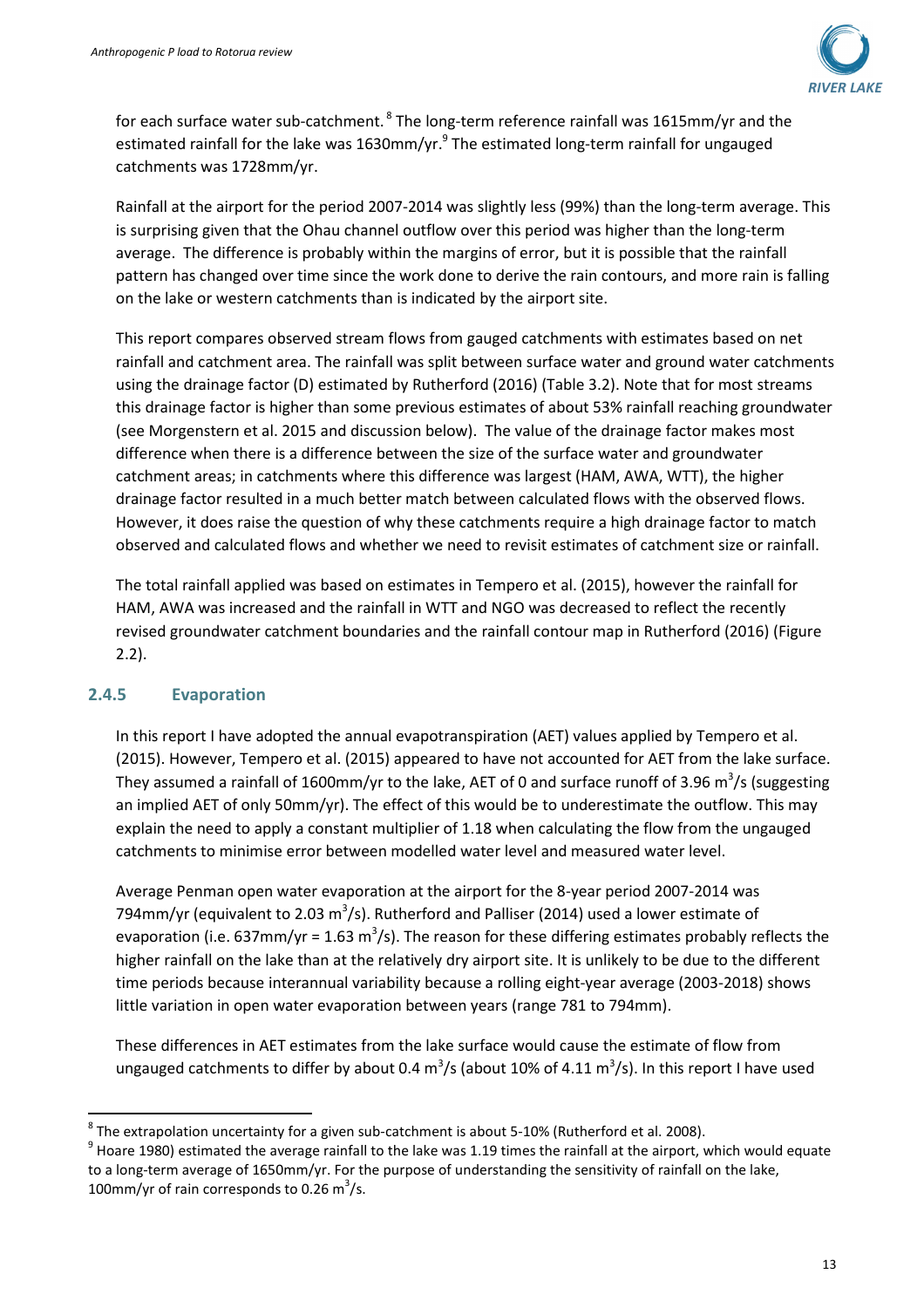

for each surface water sub-catchment.<sup>8</sup> The long-term reference rainfall was 1615mm/yr and the estimated rainfall for the lake was 1630mm/yr. $^{9}$  The estimated long-term rainfall for ungauged catchments was 1728mm/yr.

Rainfall at the airport for the period 2007-2014 was slightly less (99%) than the long-term average. This is surprising given that the Ohau channel outflow over this period was higher than the long-term average. The difference is probably within the margins of error, but it is possible that the rainfall pattern has changed over time since the work done to derive the rain contours, and more rain is falling on the lake or western catchments than is indicated by the airport site.

This report compares observed stream flows from gauged catchments with estimates based on net rainfall and catchment area. The rainfall was split between surface water and ground water catchments using the drainage factor (D) estimated by Rutherford (2016) (Table 3.2). Note that for most streams this drainage factor is higher than some previous estimates of about 53% rainfall reaching groundwater (see Morgenstern et al. 2015 and discussion below). The value of the drainage factor makes most difference when there is a difference between the size of the surface water and groundwater catchment areas; in catchments where this difference was largest (HAM, AWA, WTT), the higher drainage factor resulted in a much better match between calculated flows with the observed flows. However, it does raise the question of why these catchments require a high drainage factor to match observed and calculated flows and whether we need to revisit estimates of catchment size or rainfall.

The total rainfall applied was based on estimates in Tempero et al. (2015), however the rainfall for HAM, AWA was increased and the rainfall in WTT and NGO was decreased to reflect the recently revised groundwater catchment boundaries and the rainfall contour map in Rutherford (2016) (Figure 2.2).

#### **2.4.5 Evaporation**

l

In this report I have adopted the annual evapotranspiration (AET) values applied by Tempero et al. (2015). However, Tempero et al. (2015) appeared to have not accounted for AET from the lake surface. They assumed a rainfall of 1600mm/yr to the lake, AET of 0 and surface runoff of 3.96 m<sup>3</sup>/s (suggesting an implied AET of only 50mm/yr). The effect of this would be to underestimate the outflow. This may explain the need to apply a constant multiplier of 1.18 when calculating the flow from the ungauged catchments to minimise error between modelled water level and measured water level.

Average Penman open water evaporation at the airport for the 8-year period 2007-2014 was 794mm/yr (equivalent to 2.03 m<sup>3</sup>/s). Rutherford and Palliser (2014) used a lower estimate of evaporation (i.e. 637mm/yr = 1.63 m<sup>3</sup>/s). The reason for these differing estimates probably reflects the higher rainfall on the lake than at the relatively dry airport site. It is unlikely to be due to the different time periods because interannual variability because a rolling eight-year average (2003-2018) shows little variation in open water evaporation between years (range 781 to 794mm).

These differences in AET estimates from the lake surface would cause the estimate of flow from ungauged catchments to differ by about 0.4 m<sup>3</sup>/s (about 10% of 4.11 m<sup>3</sup>/s). In this report I have used

 $^8$  The extrapolation uncertainty for a given sub-catchment is about 5-10% (Rutherford et al. 2008).

 $^9$  Hoare 1980) estimated the average rainfall to the lake was 1.19 times the rainfall at the airport, which would equate to a long-term average of 1650mm/yr. For the purpose of understanding the sensitivity of rainfall on the lake, 100mm/yr of rain corresponds to 0.26 m<sup>3</sup>/s.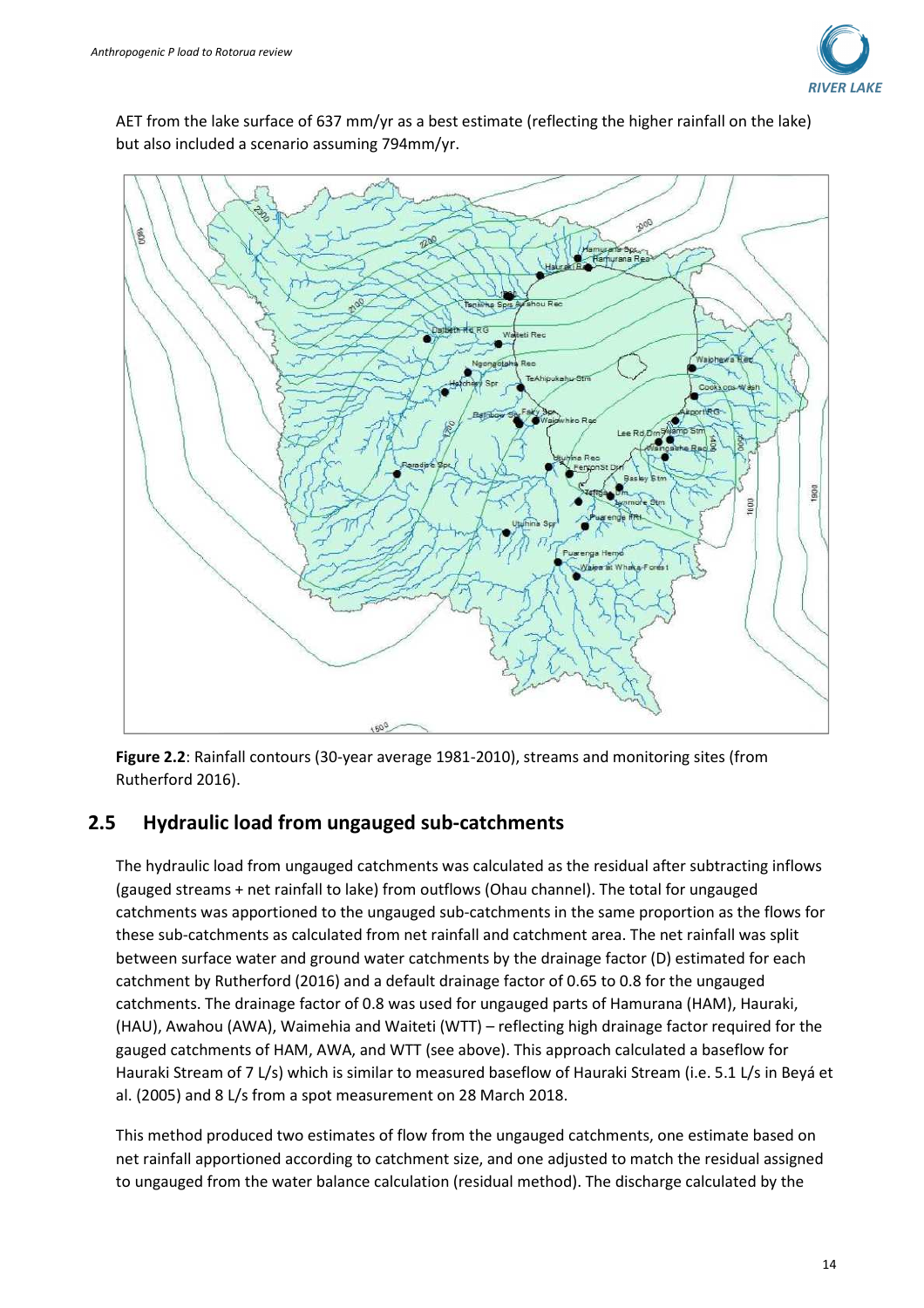

AET from the lake surface of 637 mm/yr as a best estimate (reflecting the higher rainfall on the lake) but also included a scenario assuming 794mm/yr.



**Figure 2.2**: Rainfall contours (30-year average 1981-2010), streams and monitoring sites (from Rutherford 2016).

### **2.5 Hydraulic load from ungauged sub-catchments**

The hydraulic load from ungauged catchments was calculated as the residual after subtracting inflows (gauged streams + net rainfall to lake) from outflows (Ohau channel). The total for ungauged catchments was apportioned to the ungauged sub-catchments in the same proportion as the flows for these sub-catchments as calculated from net rainfall and catchment area. The net rainfall was split between surface water and ground water catchments by the drainage factor (D) estimated for each catchment by Rutherford (2016) and a default drainage factor of 0.65 to 0.8 for the ungauged catchments. The drainage factor of 0.8 was used for ungauged parts of Hamurana (HAM), Hauraki, (HAU), Awahou (AWA), Waimehia and Waiteti (WTT) – reflecting high drainage factor required for the gauged catchments of HAM, AWA, and WTT (see above). This approach calculated a baseflow for Hauraki Stream of 7 L/s) which is similar to measured baseflow of Hauraki Stream (i.e. 5.1 L/s in Beyá et al. (2005) and 8 L/s from a spot measurement on 28 March 2018.

This method produced two estimates of flow from the ungauged catchments, one estimate based on net rainfall apportioned according to catchment size, and one adjusted to match the residual assigned to ungauged from the water balance calculation (residual method). The discharge calculated by the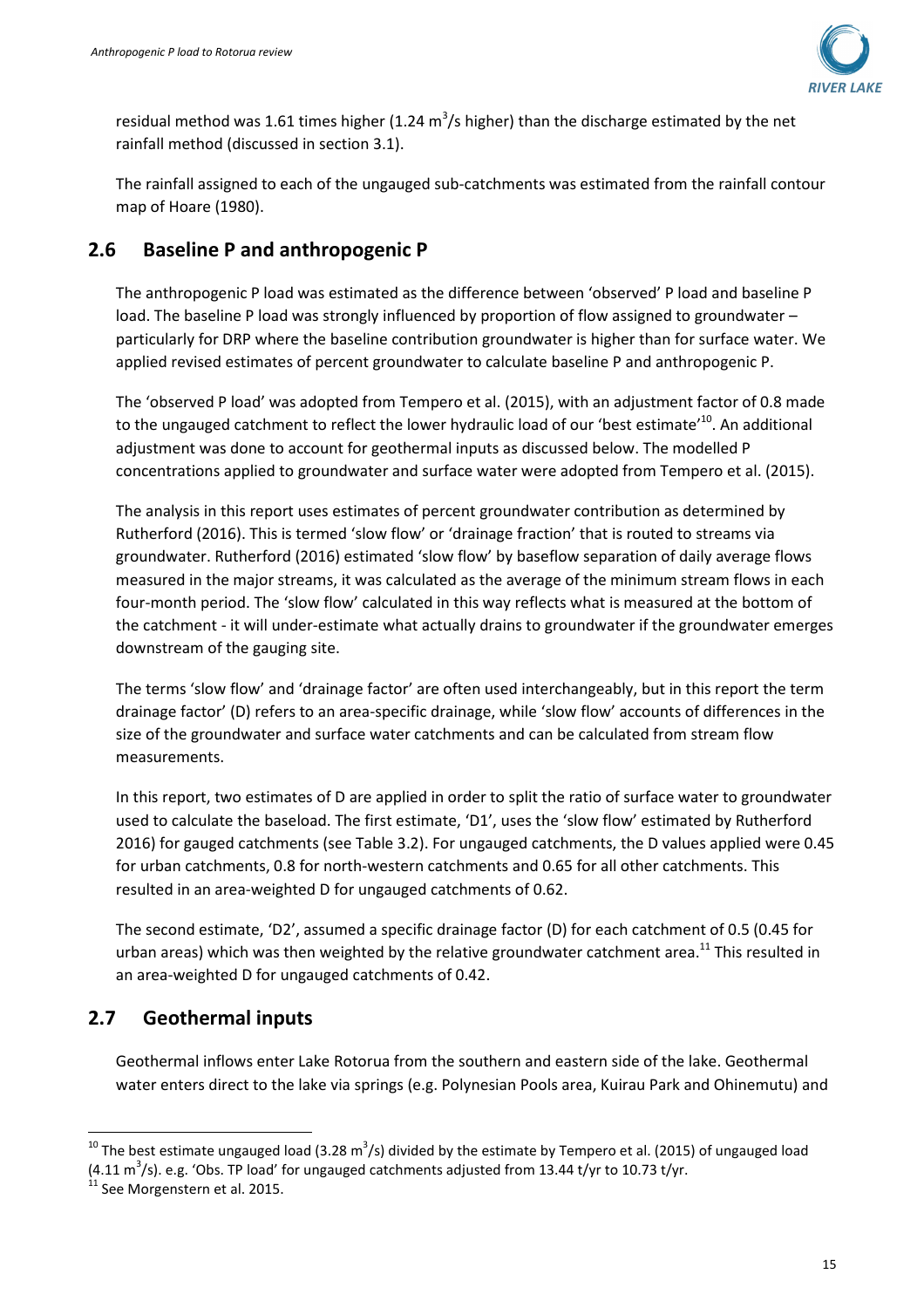

residual method was 1.61 times higher (1.24 m<sup>3</sup>/s higher) than the discharge estimated by the net rainfall method (discussed in section 3.1).

The rainfall assigned to each of the ungauged sub-catchments was estimated from the rainfall contour map of Hoare (1980).

### **2.6 Baseline P and anthropogenic P**

The anthropogenic P load was estimated as the difference between 'observed' P load and baseline P load. The baseline P load was strongly influenced by proportion of flow assigned to groundwater – particularly for DRP where the baseline contribution groundwater is higher than for surface water. We applied revised estimates of percent groundwater to calculate baseline P and anthropogenic P.

The 'observed P load' was adopted from Tempero et al. (2015), with an adjustment factor of 0.8 made to the ungauged catchment to reflect the lower hydraulic load of our 'best estimate'<sup>10</sup>. An additional adjustment was done to account for geothermal inputs as discussed below. The modelled P concentrations applied to groundwater and surface water were adopted from Tempero et al. (2015).

The analysis in this report uses estimates of percent groundwater contribution as determined by Rutherford (2016). This is termed 'slow flow' or 'drainage fraction' that is routed to streams via groundwater. Rutherford (2016) estimated 'slow flow' by baseflow separation of daily average flows measured in the major streams, it was calculated as the average of the minimum stream flows in each four-month period. The 'slow flow' calculated in this way reflects what is measured at the bottom of the catchment - it will under-estimate what actually drains to groundwater if the groundwater emerges downstream of the gauging site.

The terms 'slow flow' and 'drainage factor' are often used interchangeably, but in this report the term drainage factor' (D) refers to an area-specific drainage, while 'slow flow' accounts of differences in the size of the groundwater and surface water catchments and can be calculated from stream flow measurements.

In this report, two estimates of D are applied in order to split the ratio of surface water to groundwater used to calculate the baseload. The first estimate, 'D1', uses the 'slow flow' estimated by Rutherford 2016) for gauged catchments (see Table 3.2). For ungauged catchments, the D values applied were 0.45 for urban catchments, 0.8 for north-western catchments and 0.65 for all other catchments. This resulted in an area-weighted D for ungauged catchments of 0.62.

The second estimate, 'D2', assumed a specific drainage factor (D) for each catchment of 0.5 (0.45 for urban areas) which was then weighted by the relative groundwater catchment area.<sup>11</sup> This resulted in an area-weighted D for ungauged catchments of 0.42.

## **2.7 Geothermal inputs**

Geothermal inflows enter Lake Rotorua from the southern and eastern side of the lake. Geothermal water enters direct to the lake via springs (e.g. Polynesian Pools area, Kuirau Park and Ohinemutu) and

 <sup>10</sup> The best estimate ungauged load (3.28 m<sup>3</sup>/s) divided by the estimate by Tempero et al. (2015) of ungauged load  $(4.11 \text{ m}^3/\text{s})$ . e.g. 'Obs. TP load' for ungauged catchments adjusted from 13.44 t/yr to 10.73 t/yr.

 $11$  See Morgenstern et al. 2015.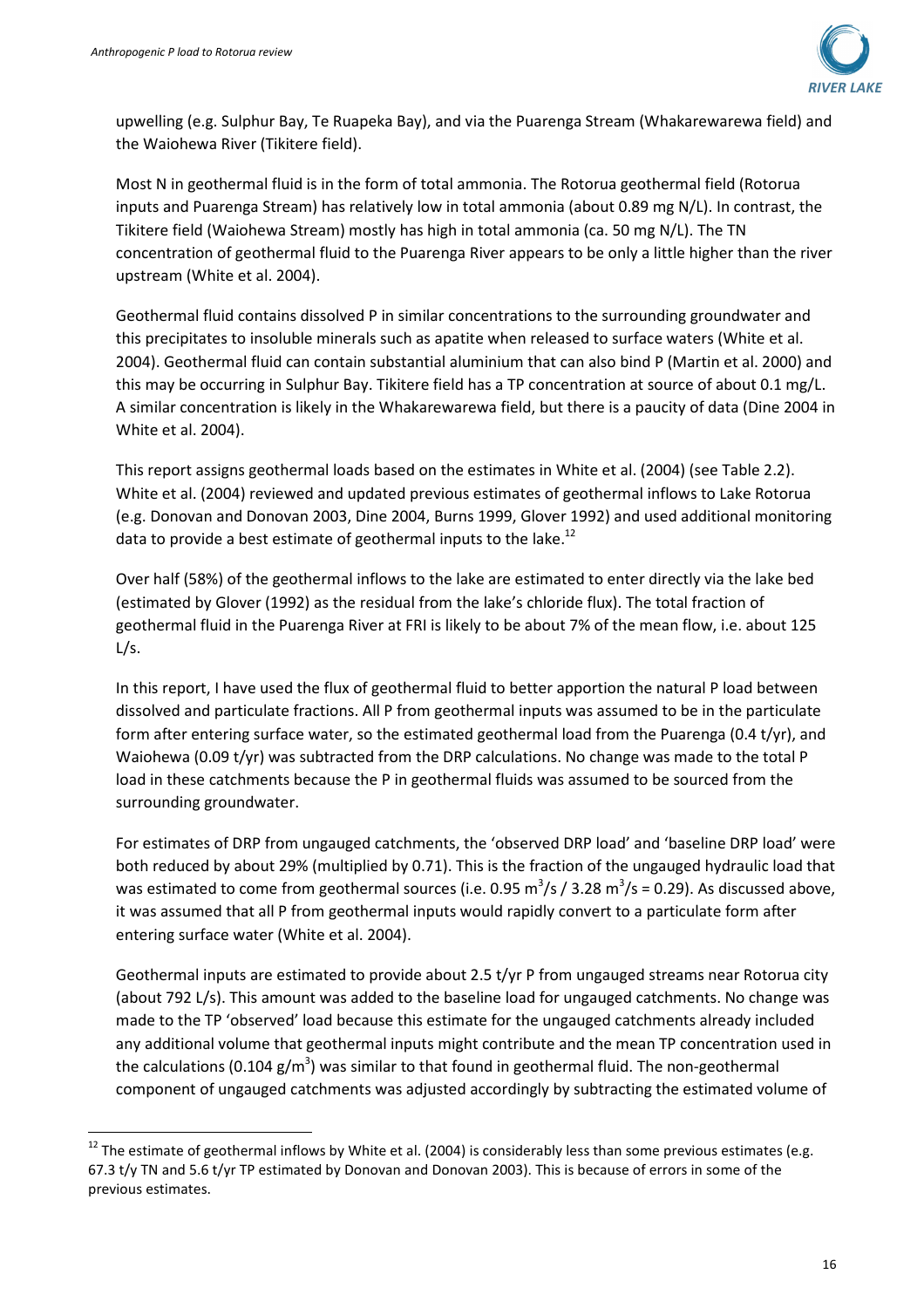

upwelling (e.g. Sulphur Bay, Te Ruapeka Bay), and via the Puarenga Stream (Whakarewarewa field) and the Waiohewa River (Tikitere field).

Most N in geothermal fluid is in the form of total ammonia. The Rotorua geothermal field (Rotorua inputs and Puarenga Stream) has relatively low in total ammonia (about 0.89 mg N/L). In contrast, the Tikitere field (Waiohewa Stream) mostly has high in total ammonia (ca. 50 mg N/L). The TN concentration of geothermal fluid to the Puarenga River appears to be only a little higher than the river upstream (White et al. 2004).

Geothermal fluid contains dissolved P in similar concentrations to the surrounding groundwater and this precipitates to insoluble minerals such as apatite when released to surface waters (White et al. 2004). Geothermal fluid can contain substantial aluminium that can also bind P (Martin et al. 2000) and this may be occurring in Sulphur Bay. Tikitere field has a TP concentration at source of about 0.1 mg/L. A similar concentration is likely in the Whakarewarewa field, but there is a paucity of data (Dine 2004 in White et al. 2004).

This report assigns geothermal loads based on the estimates in White et al. (2004) (see Table 2.2). White et al. (2004) reviewed and updated previous estimates of geothermal inflows to Lake Rotorua (e.g. Donovan and Donovan 2003, Dine 2004, Burns 1999, Glover 1992) and used additional monitoring data to provide a best estimate of geothermal inputs to the lake.<sup>12</sup>

Over half (58%) of the geothermal inflows to the lake are estimated to enter directly via the lake bed (estimated by Glover (1992) as the residual from the lake's chloride flux). The total fraction of geothermal fluid in the Puarenga River at FRI is likely to be about 7% of the mean flow, i.e. about 125  $L/s$ .

In this report, I have used the flux of geothermal fluid to better apportion the natural P load between dissolved and particulate fractions. All P from geothermal inputs was assumed to be in the particulate form after entering surface water, so the estimated geothermal load from the Puarenga (0.4 t/yr), and Waiohewa (0.09 t/yr) was subtracted from the DRP calculations. No change was made to the total P load in these catchments because the P in geothermal fluids was assumed to be sourced from the surrounding groundwater.

For estimates of DRP from ungauged catchments, the 'observed DRP load' and 'baseline DRP load' were both reduced by about 29% (multiplied by 0.71). This is the fraction of the ungauged hydraulic load that was estimated to come from geothermal sources (i.e. 0.95 m<sup>3</sup>/s / 3.28 m<sup>3</sup>/s = 0.29). As discussed above, it was assumed that all P from geothermal inputs would rapidly convert to a particulate form after entering surface water (White et al. 2004).

Geothermal inputs are estimated to provide about 2.5 t/yr P from ungauged streams near Rotorua city (about 792 L/s). This amount was added to the baseline load for ungauged catchments. No change was made to the TP 'observed' load because this estimate for the ungauged catchments already included any additional volume that geothermal inputs might contribute and the mean TP concentration used in the calculations (0.104 g/m<sup>3</sup>) was similar to that found in geothermal fluid. The non-geothermal component of ungauged catchments was adjusted accordingly by subtracting the estimated volume of

 $12$  The estimate of geothermal inflows by White et al. (2004) is considerably less than some previous estimates (e.g. 67.3 t/y TN and 5.6 t/yr TP estimated by Donovan and Donovan 2003). This is because of errors in some of the previous estimates.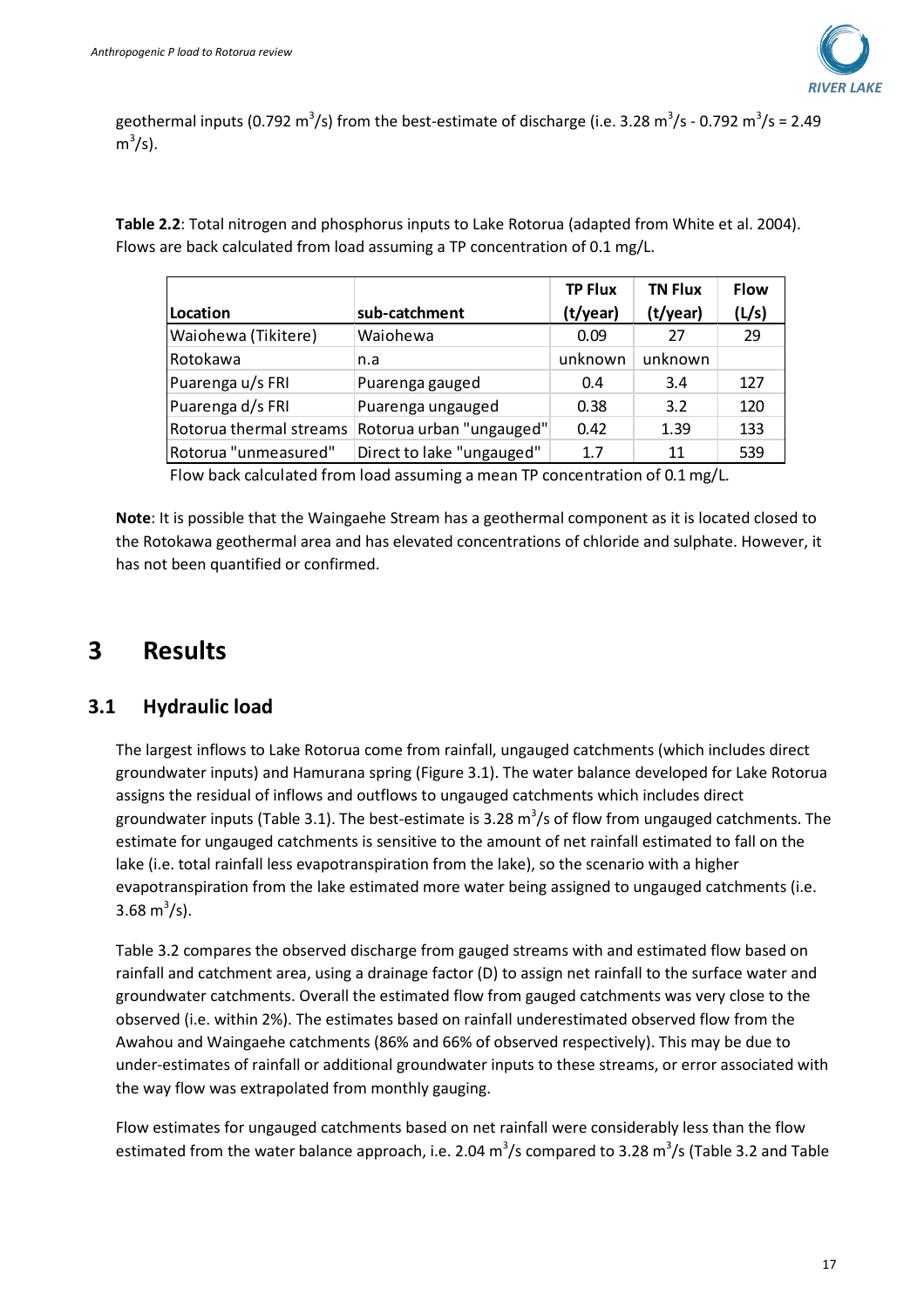

geothermal inputs (0.792 m<sup>3</sup>/s) from the best-estimate of discharge (i.e. 3.28 m<sup>3</sup>/s - 0.792 m<sup>3</sup>/s = 2.49  $m^3/s$ ).

**Table 2.2**: Total nitrogen and phosphorus inputs to Lake Rotorua (adapted from White et al. 2004). Flows are back calculated from load assuming a TP concentration of 0.1 mg/L.

|                         |                           | <b>TP Flux</b> | <b>TN Flux</b> | <b>Flow</b> |
|-------------------------|---------------------------|----------------|----------------|-------------|
| Location                | sub-catchment             | (t/year)       | (t/year)       | (L/s)       |
| Waiohewa (Tikitere)     | Waiohewa                  | 0.09           | 27             | 29          |
| Rotokawa                | n.a                       | unknown        | unknown        |             |
| Puarenga u/s FRI        | Puarenga gauged           | 0.4            | 3.4            | 127         |
| Puarenga d/s FRI        | Puarenga ungauged         | 0.38           | 3.2            | 120         |
| Rotorua thermal streams | Rotorua urban "ungauged"  | 0.42           | 1.39           | 133         |
| Rotorua "unmeasured"    | Direct to lake "ungauged" | 1.7            | 11             | 539         |

Flow back calculated from load assuming a mean TP concentration of 0.1 mg/L.

**Note**: It is possible that the Waingaehe Stream has a geothermal component as it is located closed to the Rotokawa geothermal area and has elevated concentrations of chloride and sulphate. However, it has not been quantified or confirmed.

## **3 Results**

#### **3.1 Hydraulic load**

The largest inflows to Lake Rotorua come from rainfall, ungauged catchments (which includes direct groundwater inputs) and Hamurana spring (Figure 3.1). The water balance developed for Lake Rotorua assigns the residual of inflows and outflows to ungauged catchments which includes direct groundwater inputs (Table 3.1). The best-estimate is 3.28 m<sup>3</sup>/s of flow from ungauged catchments. The estimate for ungauged catchments is sensitive to the amount of net rainfall estimated to fall on the lake (i.e. total rainfall less evapotranspiration from the lake), so the scenario with a higher evapotranspiration from the lake estimated more water being assigned to ungauged catchments (i.e. 3.68 m<sup>3</sup>/s).

Table 3.2 compares the observed discharge from gauged streams with and estimated flow based on rainfall and catchment area, using a drainage factor (D) to assign net rainfall to the surface water and groundwater catchments. Overall the estimated flow from gauged catchments was very close to the observed (i.e. within 2%). The estimates based on rainfall underestimated observed flow from the Awahou and Waingaehe catchments (86% and 66% of observed respectively). This may be due to under-estimates of rainfall or additional groundwater inputs to these streams, or error associated with the way flow was extrapolated from monthly gauging.

Flow estimates for ungauged catchments based on net rainfall were considerably less than the flow estimated from the water balance approach, i.e. 2.04  $\text{m}^3\text{/s}$  compared to 3.28  $\text{m}^3\text{/s}$  (Table 3.2 and Table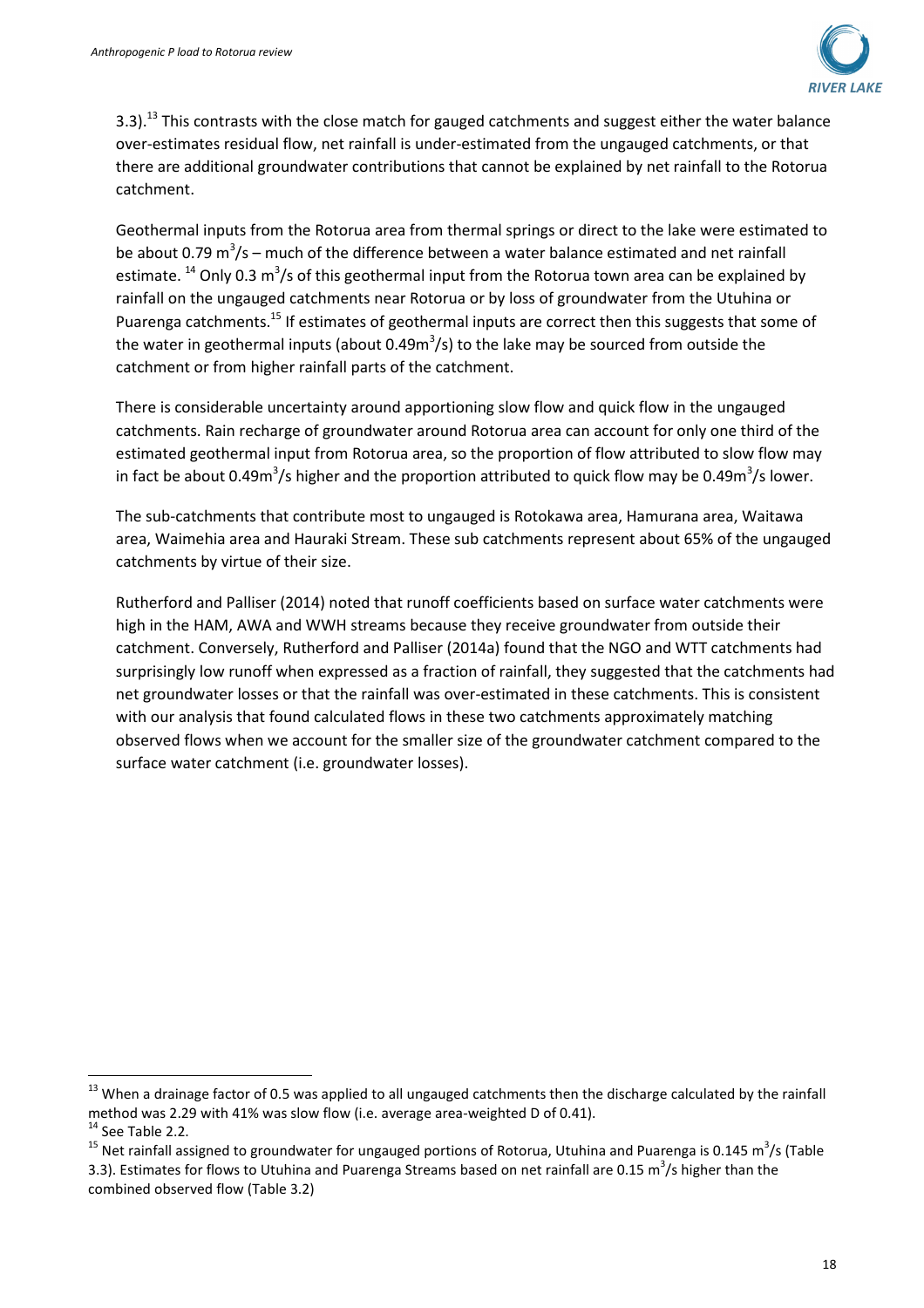

3.3).<sup>13</sup> This contrasts with the close match for gauged catchments and suggest either the water balance over-estimates residual flow, net rainfall is under-estimated from the ungauged catchments, or that there are additional groundwater contributions that cannot be explained by net rainfall to the Rotorua catchment.

Geothermal inputs from the Rotorua area from thermal springs or direct to the lake were estimated to be about 0.79 m<sup>3</sup>/s – much of the difference between a water balance estimated and net rainfall estimate. <sup>14</sup> Only 0.3 m<sup>3</sup>/s of this geothermal input from the Rotorua town area can be explained by rainfall on the ungauged catchments near Rotorua or by loss of groundwater from the Utuhina or Puarenga catchments.<sup>15</sup> If estimates of geothermal inputs are correct then this suggests that some of the water in geothermal inputs (about 0.49m<sup>3</sup>/s) to the lake may be sourced from outside the catchment or from higher rainfall parts of the catchment.

There is considerable uncertainty around apportioning slow flow and quick flow in the ungauged catchments. Rain recharge of groundwater around Rotorua area can account for only one third of the estimated geothermal input from Rotorua area, so the proportion of flow attributed to slow flow may in fact be about 0.49m<sup>3</sup>/s higher and the proportion attributed to quick flow may be 0.49m<sup>3</sup>/s lower.

The sub-catchments that contribute most to ungauged is Rotokawa area, Hamurana area, Waitawa area, Waimehia area and Hauraki Stream. These sub catchments represent about 65% of the ungauged catchments by virtue of their size.

Rutherford and Palliser (2014) noted that runoff coefficients based on surface water catchments were high in the HAM, AWA and WWH streams because they receive groundwater from outside their catchment. Conversely, Rutherford and Palliser (2014a) found that the NGO and WTT catchments had surprisingly low runoff when expressed as a fraction of rainfall, they suggested that the catchments had net groundwater losses or that the rainfall was over-estimated in these catchments. This is consistent with our analysis that found calculated flows in these two catchments approximately matching observed flows when we account for the smaller size of the groundwater catchment compared to the surface water catchment (i.e. groundwater losses).

l

<sup>&</sup>lt;sup>13</sup> When a drainage factor of 0.5 was applied to all ungauged catchments then the discharge calculated by the rainfall method was 2.29 with 41% was slow flow (i.e. average area-weighted D of 0.41).

 $14$  See Table 2.2.

<sup>&</sup>lt;sup>15</sup> Net rainfall assigned to groundwater for ungauged portions of Rotorua, Utuhina and Puarenga is 0.145 m<sup>3</sup>/s (Table 3.3). Estimates for flows to Utuhina and Puarenga Streams based on net rainfall are 0.15 m<sup>3</sup>/s higher than the combined observed flow (Table 3.2)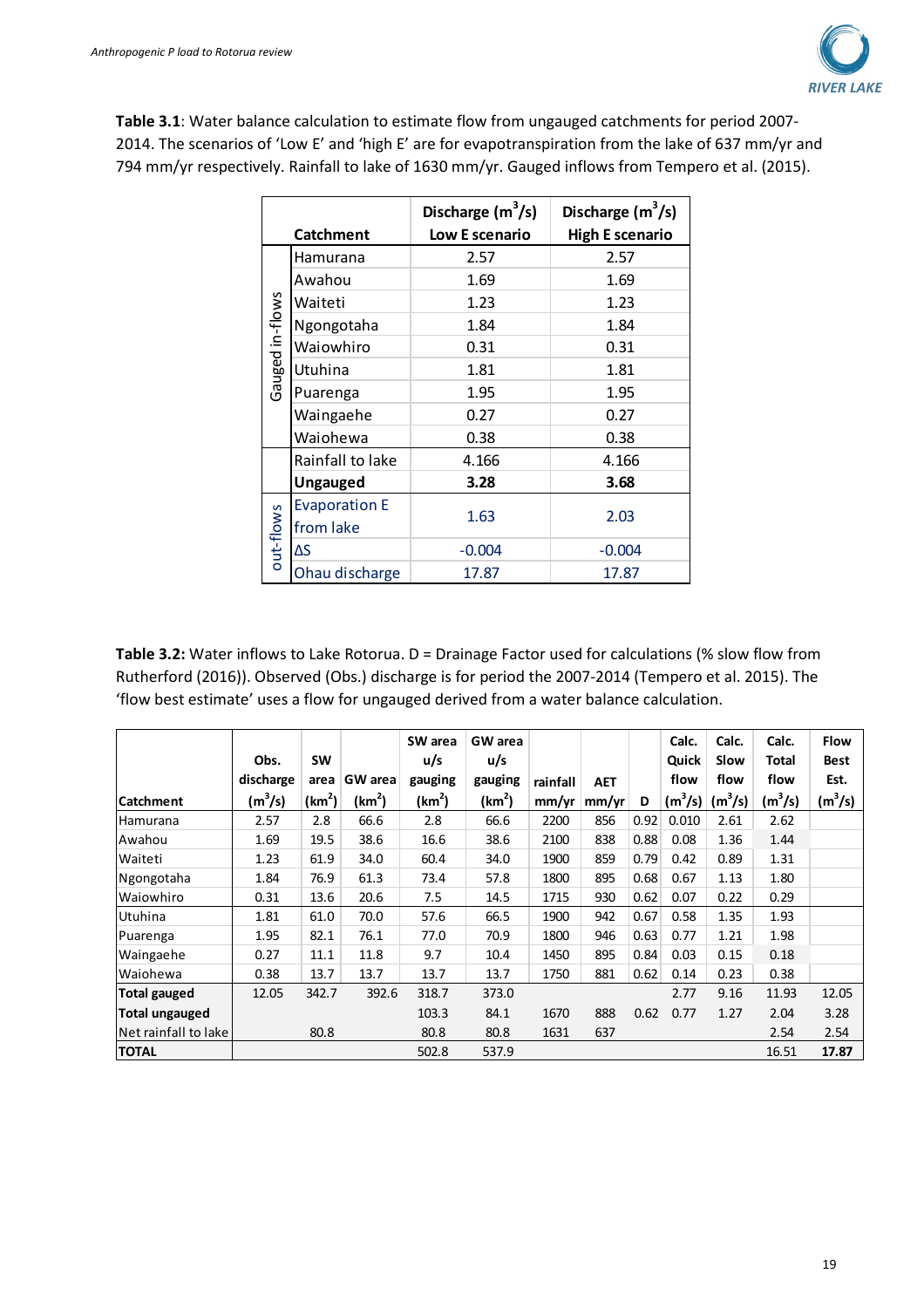

**Table 3.1**: Water balance calculation to estimate flow from ungauged catchments for period 2007- 2014. The scenarios of 'Low E' and 'high E' are for evapotranspiration from the lake of 637 mm/yr and 794 mm/yr respectively. Rainfall to lake of 1630 mm/yr. Gauged inflows from Tempero et al. (2015).

|                 | <b>Catchment</b>     | Discharge $(m^3/s)$<br>Low E scenario | Discharge $(m^3/s)$<br><b>High E scenario</b> |  |  |  |  |
|-----------------|----------------------|---------------------------------------|-----------------------------------------------|--|--|--|--|
|                 | Hamurana             | 2.57                                  | 2.57                                          |  |  |  |  |
|                 | Awahou               | 1.69                                  | 1.69                                          |  |  |  |  |
|                 | Waiteti              | 1.23                                  | 1.23                                          |  |  |  |  |
| Gauged in-flows | Ngongotaha           | 1.84                                  | 1.84                                          |  |  |  |  |
|                 | Waiowhiro            | 0.31                                  | 0.31                                          |  |  |  |  |
|                 | Utuhina              | 1.81                                  | 1.81                                          |  |  |  |  |
|                 | Puarenga             | 1.95                                  | 1.95                                          |  |  |  |  |
|                 | Waingaehe            | 0.27                                  | 0.27                                          |  |  |  |  |
|                 | Waiohewa             | 0.38                                  | 0.38                                          |  |  |  |  |
|                 | Rainfall to lake     | 4.166                                 | 4.166                                         |  |  |  |  |
|                 | <b>Ungauged</b>      | 3.28                                  | 3.68                                          |  |  |  |  |
|                 | <b>Evaporation E</b> |                                       |                                               |  |  |  |  |
| out-flows       | from lake            | 1.63                                  | 2.03                                          |  |  |  |  |
|                 | ΔS                   | $-0.004$                              | $-0.004$                                      |  |  |  |  |
|                 | Ohau discharge       | 17.87                                 | 17.87                                         |  |  |  |  |

Table 3.2: Water inflows to Lake Rotorua. D = Drainage Factor used for calculations (% slow flow from Rutherford (2016)). Observed (Obs.) discharge is for period the 2007-2014 (Tempero et al. 2015). The 'flow best estimate' uses a flow for ungauged derived from a water balance calculation.

|                       |           |                    |                    | SW area            | <b>GW</b> area     |          |            |      | Calc.     | Calc.               | Calc.     | <b>Flow</b> |
|-----------------------|-----------|--------------------|--------------------|--------------------|--------------------|----------|------------|------|-----------|---------------------|-----------|-------------|
|                       | Obs.      | <b>SW</b>          |                    | u/s                | u/s                |          |            |      | Quick     | Slow                | Total     | <b>Best</b> |
|                       | discharge | area               | GW area            | gauging            | gauging            | rainfall | <b>AET</b> |      | flow      | flow                | flow      | Est.        |
| <b>Catchment</b>      | $(m^3/s)$ | (km <sup>2</sup> ) | (km <sup>2</sup> ) | (km <sup>2</sup> ) | (km <sup>2</sup> ) | mm/yr    | mm/yr      | D    | $(m^3/s)$ | (m <sup>3</sup> /s) | $(m^3/s)$ | $(m^3/s)$   |
| Hamurana              | 2.57      | 2.8                | 66.6               | 2.8                | 66.6               | 2200     | 856        | 0.92 | 0.010     | 2.61                | 2.62      |             |
| Awahou                | 1.69      | 19.5               | 38.6               | 16.6               | 38.6               | 2100     | 838        | 0.88 | 0.08      | 1.36                | 1.44      |             |
| Waiteti               | 1.23      | 61.9               | 34.0               | 60.4               | 34.0               | 1900     | 859        | 0.79 | 0.42      | 0.89                | 1.31      |             |
| Ngongotaha            | 1.84      | 76.9               | 61.3               | 73.4               | 57.8               | 1800     | 895        | 0.68 | 0.67      | 1.13                | 1.80      |             |
| Waiowhiro             | 0.31      | 13.6               | 20.6               | 7.5                | 14.5               | 1715     | 930        | 0.62 | 0.07      | 0.22                | 0.29      |             |
| Utuhina               | 1.81      | 61.0               | 70.0               | 57.6               | 66.5               | 1900     | 942        | 0.67 | 0.58      | 1.35                | 1.93      |             |
| Puarenga              | 1.95      | 82.1               | 76.1               | 77.0               | 70.9               | 1800     | 946        | 0.63 | 0.77      | 1.21                | 1.98      |             |
| Waingaehe             | 0.27      | 11.1               | 11.8               | 9.7                | 10.4               | 1450     | 895        | 0.84 | 0.03      | 0.15                | 0.18      |             |
| Waiohewa              | 0.38      | 13.7               | 13.7               | 13.7               | 13.7               | 1750     | 881        | 0.62 | 0.14      | 0.23                | 0.38      |             |
| Total gauged          | 12.05     | 342.7              | 392.6              | 318.7              | 373.0              |          |            |      | 2.77      | 9.16                | 11.93     | 12.05       |
| <b>Total ungauged</b> |           |                    |                    | 103.3              | 84.1               | 1670     | 888        | 0.62 | 0.77      | 1.27                | 2.04      | 3.28        |
| Net rainfall to lake  |           | 80.8               |                    | 80.8               | 80.8               | 1631     | 637        |      |           |                     | 2.54      | 2.54        |
| <b>TOTAL</b>          |           |                    |                    | 502.8              | 537.9              |          |            |      |           |                     | 16.51     | 17.87       |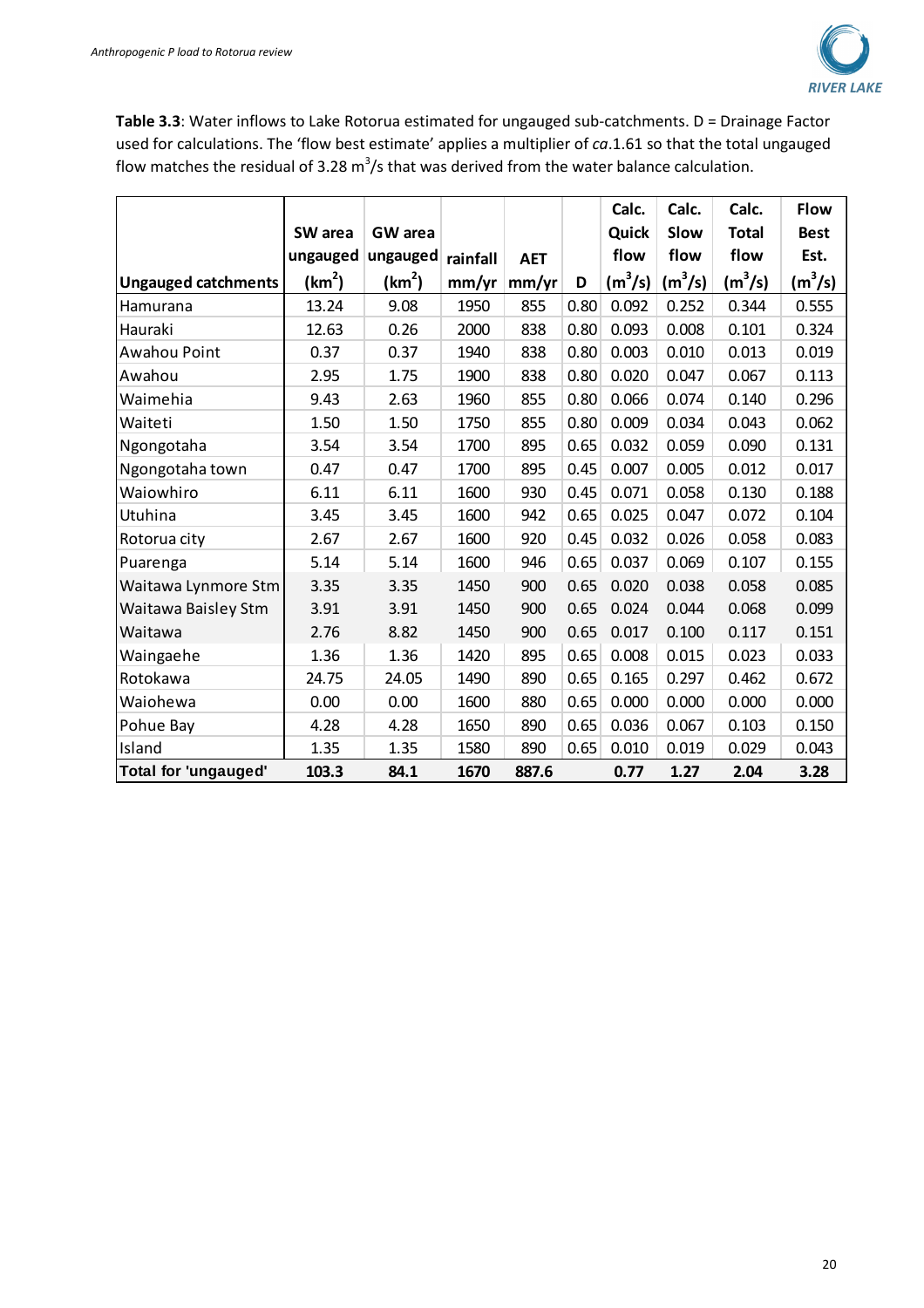

**Table 3.3**: Water inflows to Lake Rotorua estimated for ungauged sub-catchments. D = Drainage Factor used for calculations. The 'flow best estimate' applies a multiplier of *ca*.1.61 so that the total ungauged flow matches the residual of 3.28 m<sup>3</sup>/s that was derived from the water balance calculation.

|                             |                    |                    |          |            |      | Calc.     | Calc.     | Calc.        | <b>Flow</b>   |
|-----------------------------|--------------------|--------------------|----------|------------|------|-----------|-----------|--------------|---------------|
|                             | SW area            | <b>GW</b> area     |          |            |      | Quick     | Slow      | <b>Total</b> | <b>Best</b>   |
|                             | ungauged           | ungauged           | rainfall | <b>AET</b> |      | flow      | flow      | flow         | Est.          |
| <b>Ungauged catchments</b>  | (km <sup>2</sup> ) | (km <sup>2</sup> ) | mm/yr    | mm/yr      | D    | $(m^3/s)$ | $(m^3/s)$ | $(m^3/s)$    | $\rm (m^3/s)$ |
| Hamurana                    | 13.24              | 9.08               | 1950     | 855        | 0.80 | 0.092     | 0.252     | 0.344        | 0.555         |
| Hauraki                     | 12.63              | 0.26               | 2000     | 838        | 0.80 | 0.093     | 0.008     | 0.101        | 0.324         |
| Awahou Point                | 0.37               | 0.37               | 1940     | 838        | 0.80 | 0.003     | 0.010     | 0.013        | 0.019         |
| Awahou                      | 2.95               | 1.75               | 1900     | 838        | 0.80 | 0.020     | 0.047     | 0.067        | 0.113         |
| Waimehia                    | 9.43               | 2.63               | 1960     | 855        | 0.80 | 0.066     | 0.074     | 0.140        | 0.296         |
| Waiteti                     | 1.50               | 1.50               | 1750     | 855        | 0.80 | 0.009     | 0.034     | 0.043        | 0.062         |
| Ngongotaha                  | 3.54               | 3.54               | 1700     | 895        | 0.65 | 0.032     | 0.059     | 0.090        | 0.131         |
| Ngongotaha town             | 0.47               | 0.47               | 1700     | 895        | 0.45 | 0.007     | 0.005     | 0.012        | 0.017         |
| Waiowhiro                   | 6.11               | 6.11               | 1600     | 930        | 0.45 | 0.071     | 0.058     | 0.130        | 0.188         |
| Utuhina                     | 3.45               | 3.45               | 1600     | 942        | 0.65 | 0.025     | 0.047     | 0.072        | 0.104         |
| Rotorua city                | 2.67               | 2.67               | 1600     | 920        | 0.45 | 0.032     | 0.026     | 0.058        | 0.083         |
| Puarenga                    | 5.14               | 5.14               | 1600     | 946        | 0.65 | 0.037     | 0.069     | 0.107        | 0.155         |
| Waitawa Lynmore Stm         | 3.35               | 3.35               | 1450     | 900        | 0.65 | 0.020     | 0.038     | 0.058        | 0.085         |
| Waitawa Baisley Stm         | 3.91               | 3.91               | 1450     | 900        | 0.65 | 0.024     | 0.044     | 0.068        | 0.099         |
| Waitawa                     | 2.76               | 8.82               | 1450     | 900        | 0.65 | 0.017     | 0.100     | 0.117        | 0.151         |
| Waingaehe                   | 1.36               | 1.36               | 1420     | 895        | 0.65 | 0.008     | 0.015     | 0.023        | 0.033         |
| Rotokawa                    | 24.75              | 24.05              | 1490     | 890        | 0.65 | 0.165     | 0.297     | 0.462        | 0.672         |
| Waiohewa                    | 0.00               | 0.00               | 1600     | 880        | 0.65 | 0.000     | 0.000     | 0.000        | 0.000         |
| Pohue Bay                   | 4.28               | 4.28               | 1650     | 890        | 0.65 | 0.036     | 0.067     | 0.103        | 0.150         |
| Island                      | 1.35               | 1.35               | 1580     | 890        | 0.65 | 0.010     | 0.019     | 0.029        | 0.043         |
| <b>Total for 'ungauged'</b> | 103.3              | 84.1               | 1670     | 887.6      |      | 0.77      | 1.27      | 2.04         | 3.28          |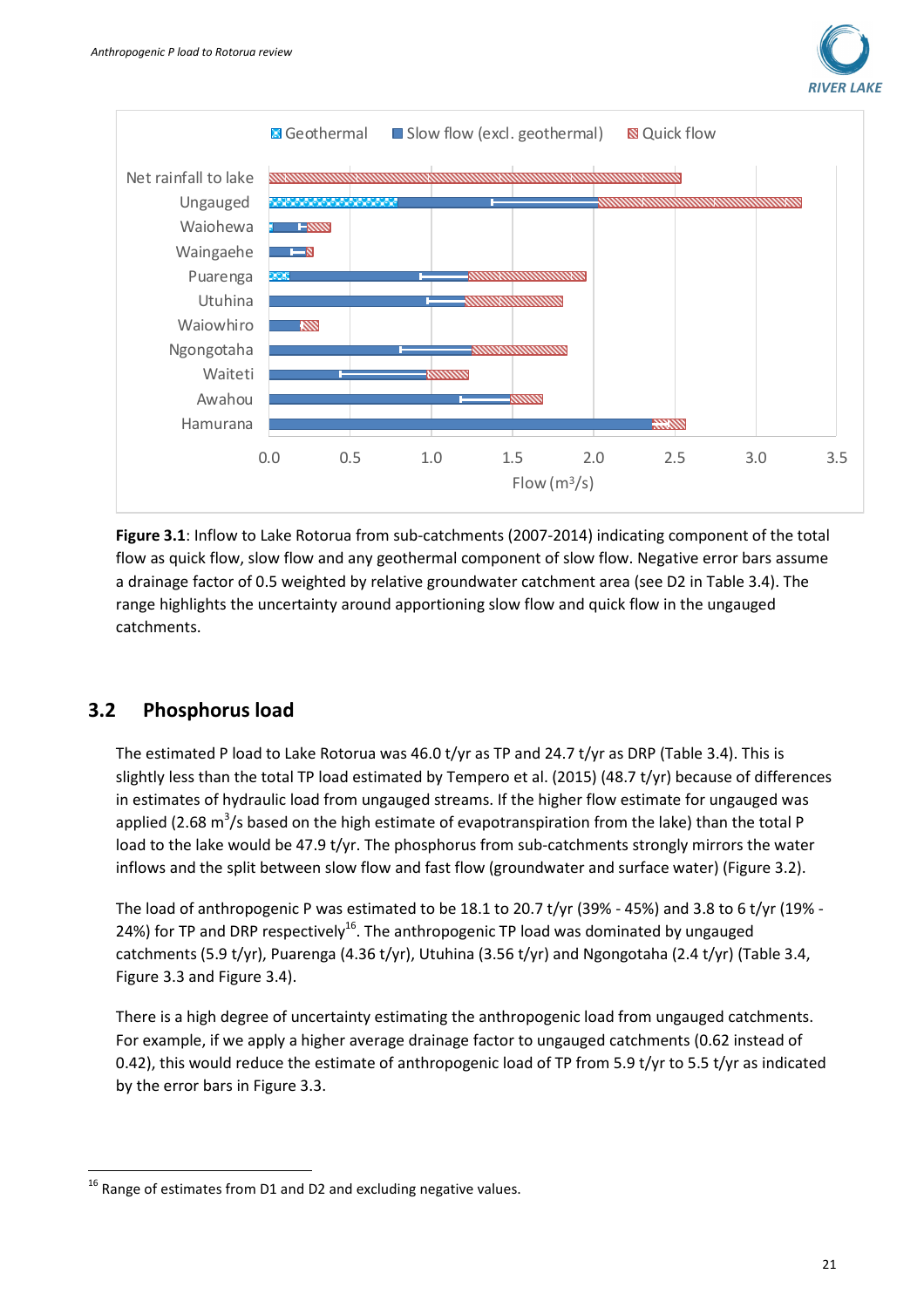



**Figure 3.1**: Inflow to Lake Rotorua from sub-catchments (2007-2014) indicating component of the total flow as quick flow, slow flow and any geothermal component of slow flow. Negative error bars assume a drainage factor of 0.5 weighted by relative groundwater catchment area (see D2 in Table 3.4). The range highlights the uncertainty around apportioning slow flow and quick flow in the ungauged catchments.

#### **3.2 Phosphorus load**

l

The estimated P load to Lake Rotorua was 46.0 t/yr as TP and 24.7 t/yr as DRP (Table 3.4). This is slightly less than the total TP load estimated by Tempero et al. (2015) (48.7 t/yr) because of differences in estimates of hydraulic load from ungauged streams. If the higher flow estimate for ungauged was applied (2.68 m<sup>3</sup>/s based on the high estimate of evapotranspiration from the lake) than the total P load to the lake would be 47.9 t/yr. The phosphorus from sub-catchments strongly mirrors the water inflows and the split between slow flow and fast flow (groundwater and surface water) (Figure 3.2).

The load of anthropogenic P was estimated to be 18.1 to 20.7 t/yr (39% - 45%) and 3.8 to 6 t/yr (19% - 24%) for TP and DRP respectively<sup>16</sup>. The anthropogenic TP load was dominated by ungauged catchments (5.9 t/yr), Puarenga (4.36 t/yr), Utuhina (3.56 t/yr) and Ngongotaha (2.4 t/yr) (Table 3.4, Figure 3.3 and Figure 3.4).

There is a high degree of uncertainty estimating the anthropogenic load from ungauged catchments. For example, if we apply a higher average drainage factor to ungauged catchments (0.62 instead of 0.42), this would reduce the estimate of anthropogenic load of TP from 5.9 t/yr to 5.5 t/yr as indicated by the error bars in Figure 3.3.

 $16$  Range of estimates from D1 and D2 and excluding negative values.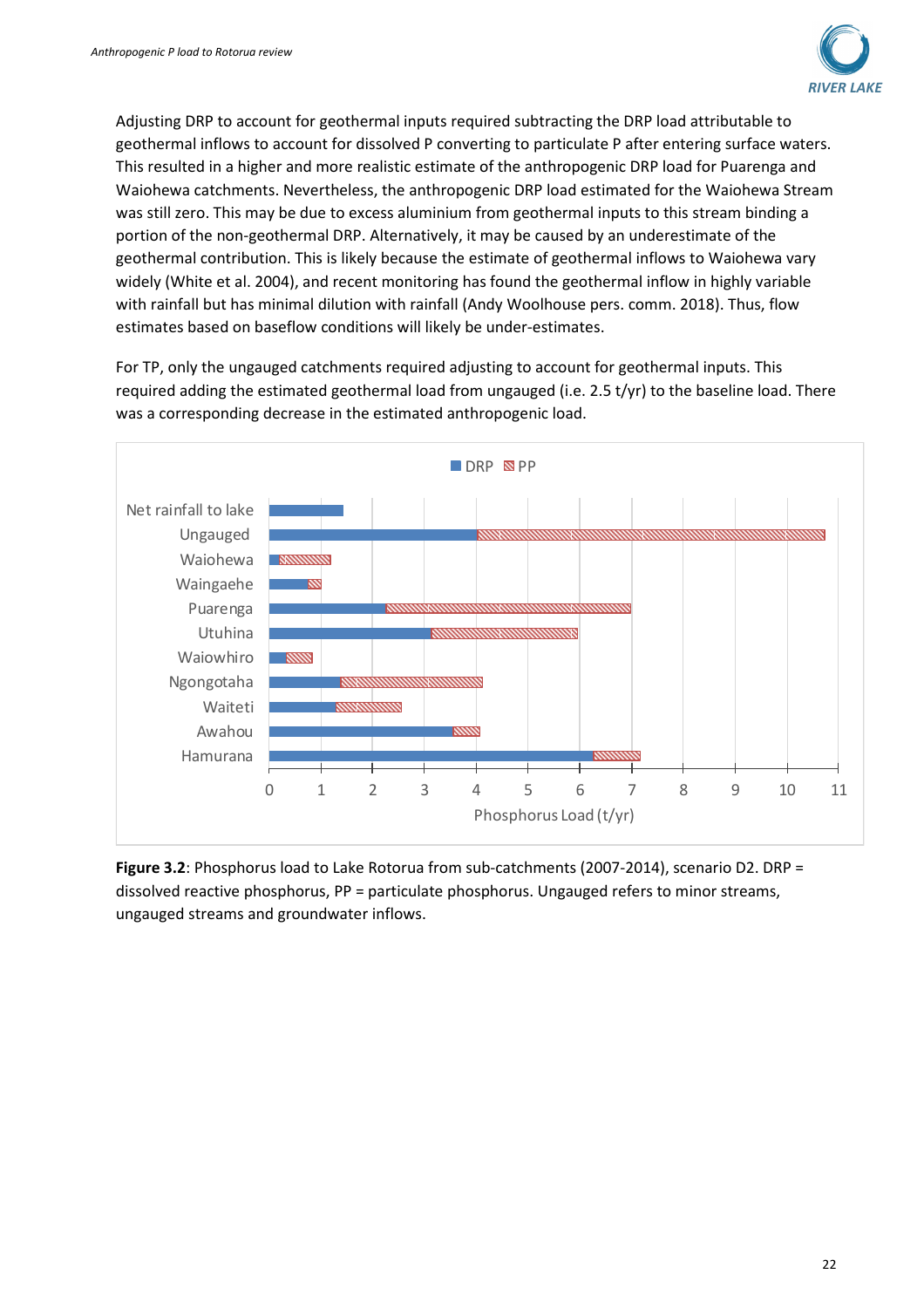

Adjusting DRP to account for geothermal inputs required subtracting the DRP load attributable to geothermal inflows to account for dissolved P converting to particulate P after entering surface waters. This resulted in a higher and more realistic estimate of the anthropogenic DRP load for Puarenga and Waiohewa catchments. Nevertheless, the anthropogenic DRP load estimated for the Waiohewa Stream was still zero. This may be due to excess aluminium from geothermal inputs to this stream binding a portion of the non-geothermal DRP. Alternatively, it may be caused by an underestimate of the geothermal contribution. This is likely because the estimate of geothermal inflows to Waiohewa vary widely (White et al. 2004), and recent monitoring has found the geothermal inflow in highly variable with rainfall but has minimal dilution with rainfall (Andy Woolhouse pers. comm. 2018). Thus, flow estimates based on baseflow conditions will likely be under-estimates.

For TP, only the ungauged catchments required adjusting to account for geothermal inputs. This required adding the estimated geothermal load from ungauged (i.e. 2.5 t/yr) to the baseline load. There was a corresponding decrease in the estimated anthropogenic load.



**Figure 3.2**: Phosphorus load to Lake Rotorua from sub-catchments (2007-2014), scenario D2. DRP = dissolved reactive phosphorus, PP = particulate phosphorus. Ungauged refers to minor streams, ungauged streams and groundwater inflows.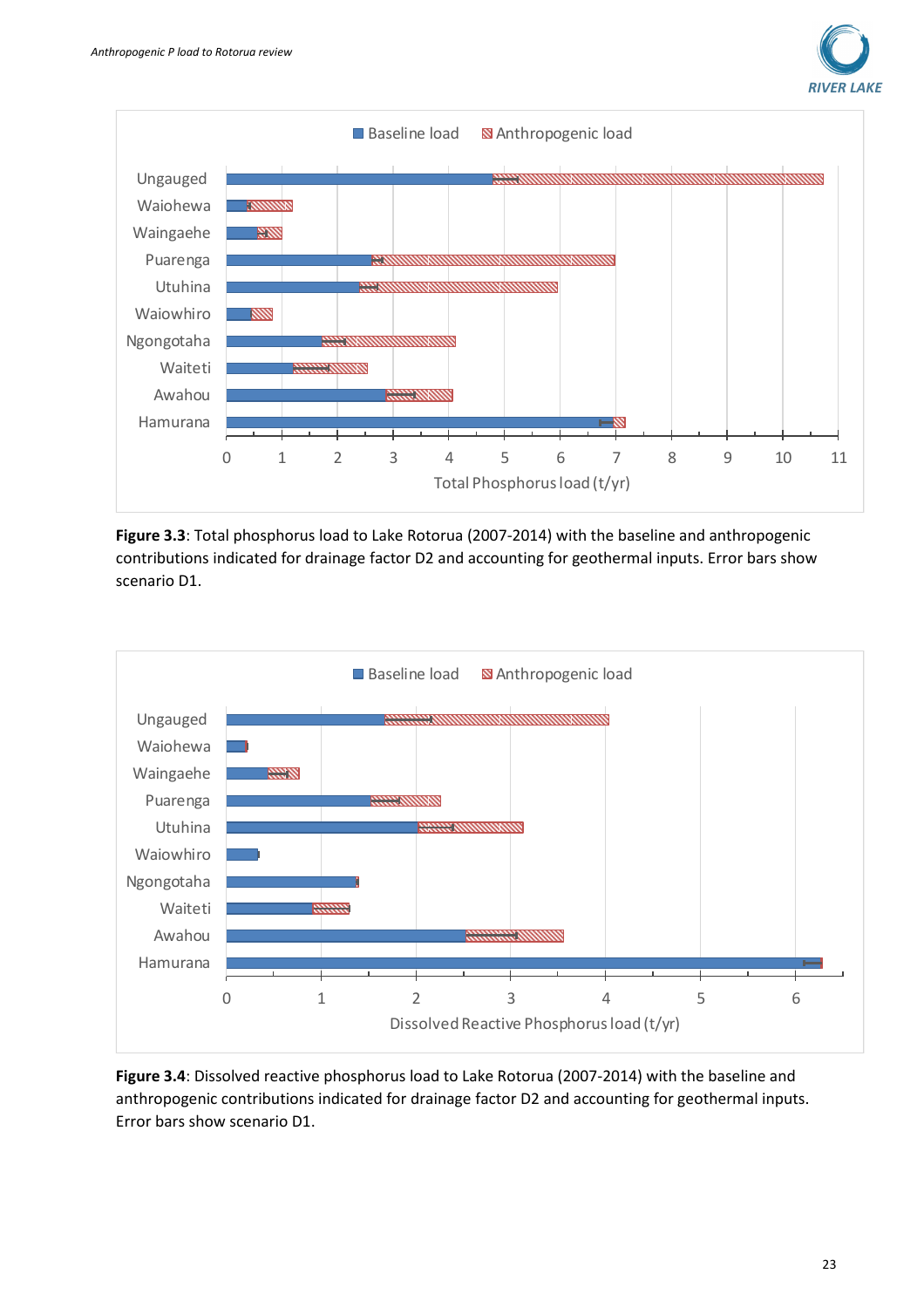







**Figure 3.4**: Dissolved reactive phosphorus load to Lake Rotorua (2007-2014) with the baseline and anthropogenic contributions indicated for drainage factor D2 and accounting for geothermal inputs. Error bars show scenario D1.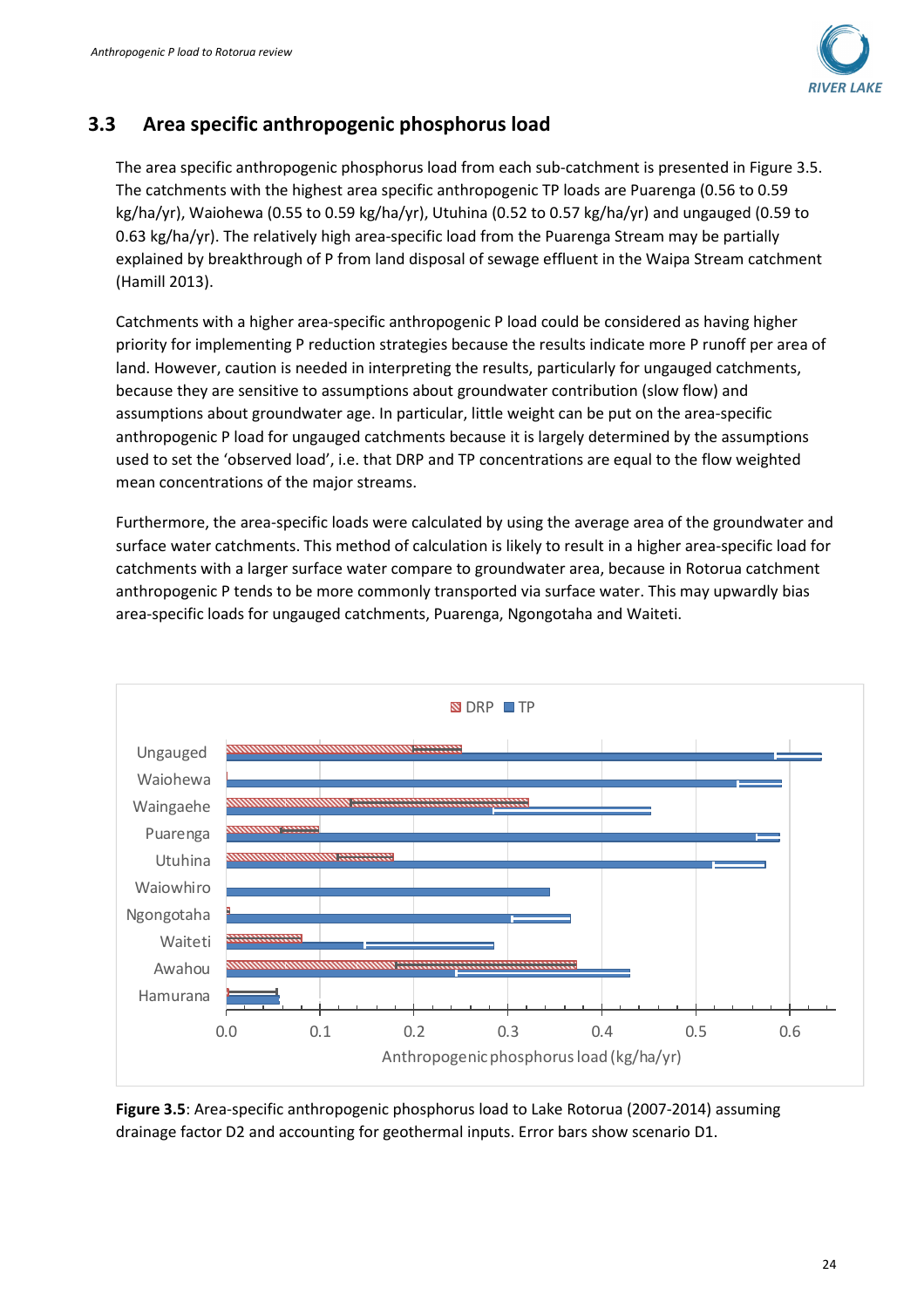

### **3.3 Area specific anthropogenic phosphorus load**

The area specific anthropogenic phosphorus load from each sub-catchment is presented in Figure 3.5. The catchments with the highest area specific anthropogenic TP loads are Puarenga (0.56 to 0.59 kg/ha/yr), Waiohewa (0.55 to 0.59 kg/ha/yr), Utuhina (0.52 to 0.57 kg/ha/yr) and ungauged (0.59 to 0.63 kg/ha/yr). The relatively high area-specific load from the Puarenga Stream may be partially explained by breakthrough of P from land disposal of sewage effluent in the Waipa Stream catchment (Hamill 2013).

Catchments with a higher area-specific anthropogenic P load could be considered as having higher priority for implementing P reduction strategies because the results indicate more P runoff per area of land. However, caution is needed in interpreting the results, particularly for ungauged catchments, because they are sensitive to assumptions about groundwater contribution (slow flow) and assumptions about groundwater age. In particular, little weight can be put on the area-specific anthropogenic P load for ungauged catchments because it is largely determined by the assumptions used to set the 'observed load', i.e. that DRP and TP concentrations are equal to the flow weighted mean concentrations of the major streams.

Furthermore, the area-specific loads were calculated by using the average area of the groundwater and surface water catchments. This method of calculation is likely to result in a higher area-specific load for catchments with a larger surface water compare to groundwater area, because in Rotorua catchment anthropogenic P tends to be more commonly transported via surface water. This may upwardly bias area-specific loads for ungauged catchments, Puarenga, Ngongotaha and Waiteti.



**Figure 3.5**: Area-specific anthropogenic phosphorus load to Lake Rotorua (2007-2014) assuming drainage factor D2 and accounting for geothermal inputs. Error bars show scenario D1.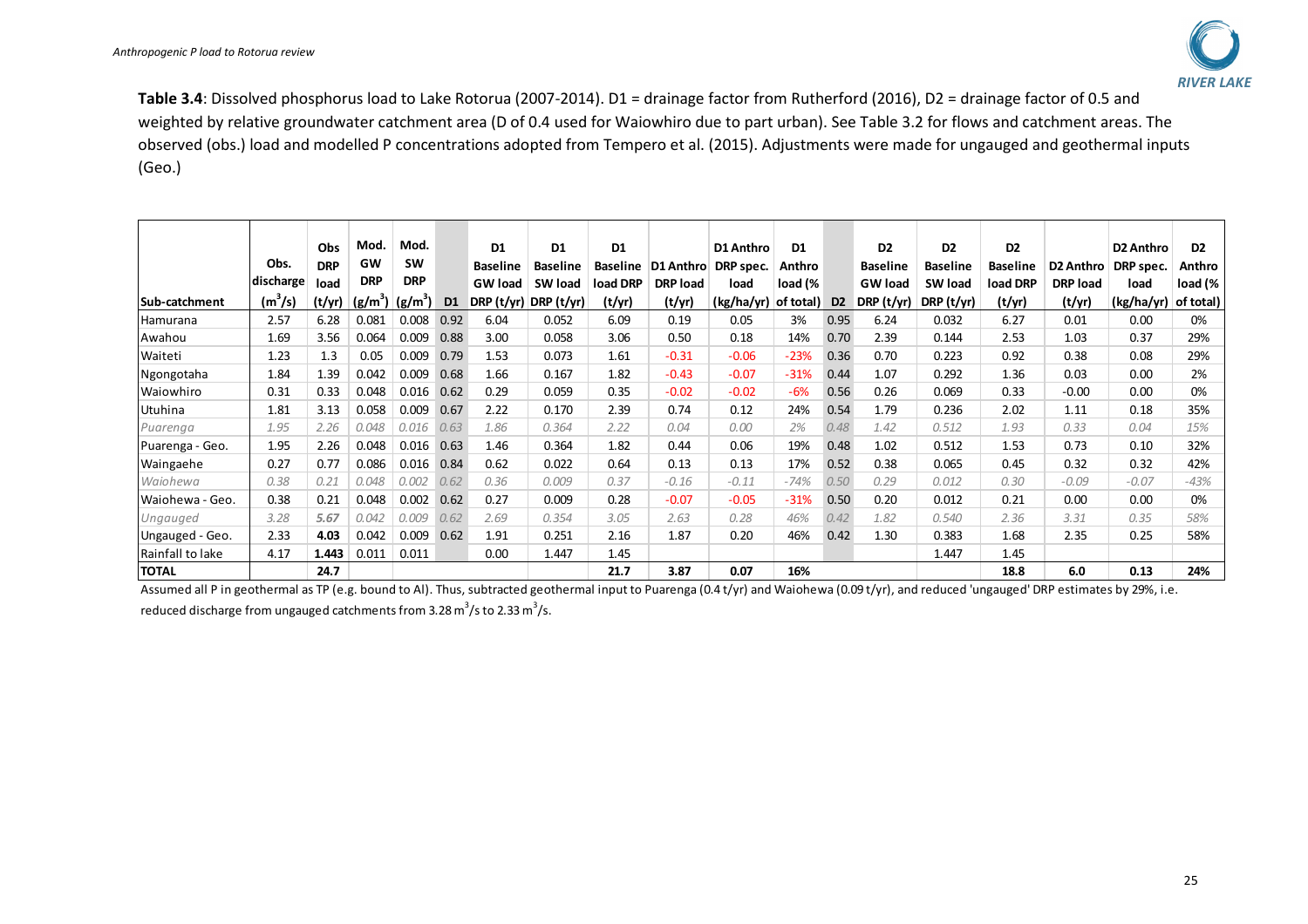

**Table 3.4**: Dissolved phosphorus load to Lake Rotorua (2007-2014). D1 = drainage factor from Rutherford (2016), D2 = drainage factor of 0.5 and weighted by relative groundwater catchment area (D of 0.4 used for Waiowhiro due to part urban). See Table 3.2 for flows and catchment areas. The observed (obs.) load and modelled P concentrations adopted from Tempero et al. (2015). Adjustments were made for ungauged and geothermal inputs (Geo.)

|                  |           | Obs        | Mod.       | Mod.       |                | D <sub>1</sub>  | D1              | D1       |                 | D1 Anthro  | D1        |                | D <sub>2</sub>  | D <sub>2</sub>  | D <sub>2</sub>  |                 | D2 Anthro  | D <sub>2</sub> |
|------------------|-----------|------------|------------|------------|----------------|-----------------|-----------------|----------|-----------------|------------|-----------|----------------|-----------------|-----------------|-----------------|-----------------|------------|----------------|
|                  | Obs.      | <b>DRP</b> | GW         | <b>SW</b>  |                | <b>Baseline</b> | <b>Baseline</b> | Baseline | D1 Anthro       | DRP spec.  | Anthro    |                | <b>Baseline</b> | <b>Baseline</b> | <b>Baseline</b> | D2 Anthro       | DRP spec.  | Anthro         |
|                  | discharge | load       | <b>DRP</b> | <b>DRP</b> |                | <b>GW</b> load  | SW load         | load DRP | <b>DRP</b> load | load       | load (%   |                | <b>GW</b> load  | <b>SW load</b>  | load DRP        | <b>DRP</b> load | load       | load (%        |
| Sub-catchment    | $(m^3/s)$ | (t/yr)     | $(g/m^3)$  | $(g/m^3)$  | D <sub>1</sub> | DRP (t/yr)      | DRP (t/yr)      | (t/yr)   | (t/yr)          | (kg/ha/yr) | of total) | D <sub>2</sub> | DRP (t/yr)      | DRP $(t/yr)$    | (t/yr)          | (t/yr)          | (kg/ha/yr) | of total)      |
| <b>Hamurana</b>  | 2.57      | 6.28       | 0.081      | 0.008      | 0.92           | 6.04            | 0.052           | 6.09     | 0.19            | 0.05       | 3%        | 0.95           | 6.24            | 0.032           | 6.27            | 0.01            | 0.00       | 0%             |
| Awahou           | 1.69      | 3.56       | 0.064      | 0.009      | 0.88           | 3.00            | 0.058           | 3.06     | 0.50            | 0.18       | 14%       | 0.70           | 2.39            | 0.144           | 2.53            | 1.03            | 0.37       | 29%            |
| Waiteti          | 1.23      | 1.3        | 0.05       | 0.009      | 0.79           | 1.53            | 0.073           | 1.61     | $-0.31$         | $-0.06$    | $-23%$    | 0.36           | 0.70            | 0.223           | 0.92            | 0.38            | 0.08       | 29%            |
| Ngongotaha       | 1.84      | 1.39       | 0.042      | 0.009      | 0.68           | 1.66            | 0.167           | 1.82     | $-0.43$         | $-0.07$    | $-31%$    | 0.44           | 1.07            | 0.292           | 1.36            | 0.03            | 0.00       | 2%             |
| Waiowhiro        | 0.31      | 0.33       | 0.048      | 0.016      | 0.62           | 0.29            | 0.059           | 0.35     | $-0.02$         | $-0.02$    | $-6%$     | 0.56           | 0.26            | 0.069           | 0.33            | $-0.00$         | 0.00       | 0%             |
| Utuhina          | 1.81      | 3.13       | 0.058      | 0.009      | 0.67           | 2.22            | 0.170           | 2.39     | 0.74            | 0.12       | 24%       | 0.54           | 1.79            | 0.236           | 2.02            | 1.11            | 0.18       | 35%            |
| Puarenga         | 1.95      | 2.26       | 0.048      | 0.016      | 0.63           | 1.86            | 0.364           | 2.22     | 0.04            | 0.00       | 2%        | 0.48           | 1.42            | 0.512           | 1.93            | 0.33            | 0.04       | 15%            |
| Puarenga - Geo.  | 1.95      | 2.26       | 0.048      | 0.016      | 0.63           | 1.46            | 0.364           | 1.82     | 0.44            | 0.06       | 19%       | 0.48           | 1.02            | 0.512           | 1.53            | 0.73            | 0.10       | 32%            |
| Waingaehe        | 0.27      | 0.77       | 0.086      | 0.016      | 0.84           | 0.62            | 0.022           | 0.64     | 0.13            | 0.13       | 17%       | 0.52           | 0.38            | 0.065           | 0.45            | 0.32            | 0.32       | 42%            |
| Waiohewa         | 0.38      | 0.21       | 0.048      | 0.002      | 0.62           | 0.36            | 0.009           | 0.37     | $-0.16$         | $-0.11$    | $-74%$    | 0.50           | 0.29            | 0.012           | 0.30            | $-0.09$         | $-0.07$    | $-43%$         |
| Waiohewa - Geo.  | 0.38      | 0.21       | 0.048      | 0.002      | 0.62           | 0.27            | 0.009           | 0.28     | $-0.07$         | $-0.05$    | $-31%$    | 0.50           | 0.20            | 0.012           | 0.21            | 0.00            | 0.00       | 0%             |
| Ungauged         | 3.28      | 5.67       | 0.042      | 0.009      | 0.62           | 2.69            | 0.354           | 3.05     | 2.63            | 0.28       | 46%       | 0.42           | 1.82            | 0.540           | 2.36            | 3.31            | 0.35       | 58%            |
| Ungauged - Geo.  | 2.33      | 4.03       | 0.042      | 0.009      | 0.62           | 1.91            | 0.251           | 2.16     | 1.87            | 0.20       | 46%       | 0.42           | 1.30            | 0.383           | 1.68            | 2.35            | 0.25       | 58%            |
| Rainfall to lake | 4.17      | 1.443      | 0.011      | 0.011      |                | 0.00            | 1.447           | 1.45     |                 |            |           |                |                 | 1.447           | 1.45            |                 |            |                |
| <b>TOTAL</b>     |           | 24.7       |            |            |                |                 |                 | 21.7     | 3.87            | 0.07       | 16%       |                |                 |                 | 18.8            | 6.0             | 0.13       | 24%            |

Assumed all P in geothermal as TP (e.g. bound to Al). Thus, subtracted geothermal input to Puarenga (0.4 t/yr) and Waiohewa (0.09 t/yr), and reduced 'ungauged' DRP estimates by 29%, i.e. reduced discharge from ungauged catchments from 3.28  $m^3/s$  to 2.33  $m^3/s$ .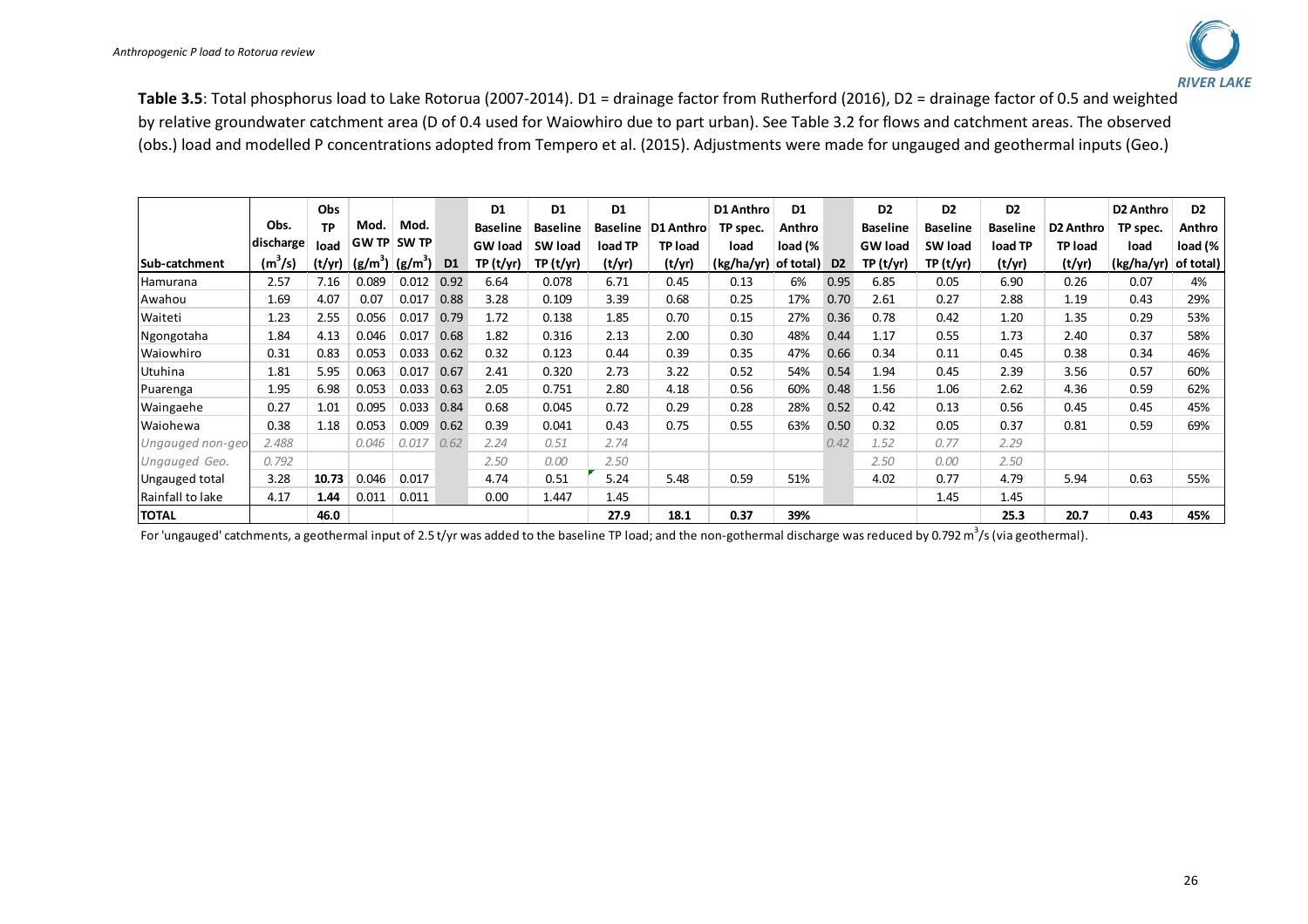

**Table 3.5**: Total phosphorus load to Lake Rotorua (2007-2014). D1 = drainage factor from Rutherford (2016), D2 = drainage factor of 0.5 and weighted by relative groundwater catchment area (D of 0.4 used for Waiowhiro due to part urban). See Table 3.2 for flows and catchment areas. The observed (obs.) load and modelled P concentrations adopted from Tempero et al. (2015). Adjustments were made for ungauged and geothermal inputs (Geo.)

|                       |                     | Obs       |             |              |                | D <sub>1</sub>  | D <sub>1</sub>  | D1              |                | D1 Anthro  | D <sub>1</sub> |                | D <sub>2</sub>  | D <sub>2</sub>  | D <sub>2</sub>  |                  | D2 Anthro  | D <sub>2</sub> |
|-----------------------|---------------------|-----------|-------------|--------------|----------------|-----------------|-----------------|-----------------|----------------|------------|----------------|----------------|-----------------|-----------------|-----------------|------------------|------------|----------------|
|                       | Obs.                | <b>TP</b> | Mod.        | Mod.         |                | <b>Baseline</b> | <b>Baseline</b> | <b>Baseline</b> | D1 Anthro      | TP spec.   | Anthro         |                | <b>Baseline</b> | <b>Baseline</b> | <b>Baseline</b> | <b>D2 Anthro</b> | TP spec.   | Anthro         |
|                       | discharge           | load      | <b>GWTP</b> | <b>SW TP</b> |                | <b>GW</b> load  | SW load         | load TP         | <b>TP load</b> | load       | load (%        |                | <b>GW</b> load  | SW load         | load TP         | TP load          | load       | load (%        |
| <b>ISub-catchment</b> | (m <sup>3</sup> /s) | (t/yr)    | $(g/m^3)$   | $(g/m^3)$    | D <sub>1</sub> | TP(t/yr)        | TP(t/yr)        | (t/yr)          | (t/yr)         | (kg/ha/yr) | of total)      | D <sub>2</sub> | TP (t/yr)       | TP(t/yr)        | (t/yr)          | (t/yr)           | (kg/ha/yr) | of total)      |
| Hamurana              | 2.57                | 7.16      | 0.089       | 0.012        | 0.92           | 6.64            | 0.078           | 6.71            | 0.45           | 0.13       | 6%             | 0.95           | 6.85            | 0.05            | 6.90            | 0.26             | 0.07       | 4%             |
| Awahou                | 1.69                | 4.07      | 0.07        | 0.017        | 0.88           | 3.28            | 0.109           | 3.39            | 0.68           | 0.25       | 17%            | 0.70           | 2.61            | 0.27            | 2.88            | 1.19             | 0.43       | 29%            |
| Waiteti               | 1.23                | 2.55      | 0.056       | 0.017        | 0.79           | 1.72            | 0.138           | 1.85            | 0.70           | 0.15       | 27%            | 0.36           | 0.78            | 0.42            | 1.20            | 1.35             | 0.29       | 53%            |
| Ngongotaha            | 1.84                | 4.13      | 0.046       | 0.017        | 0.68           | 1.82            | 0.316           | 2.13            | 2.00           | 0.30       | 48%            | 0.44           | 1.17            | 0.55            | 1.73            | 2.40             | 0.37       | 58%            |
| Waiowhiro             | 0.31                | 0.83      | 0.053       | 0.033        | 0.62           | 0.32            | 0.123           | 0.44            | 0.39           | 0.35       | 47%            | 0.66           | 0.34            | 0.11            | 0.45            | 0.38             | 0.34       | 46%            |
| Utuhina               | 1.81                | 5.95      | 0.063       | 0.017        | 0.67           | 2.41            | 0.320           | 2.73            | 3.22           | 0.52       | 54%            | 0.54           | 1.94            | 0.45            | 2.39            | 3.56             | 0.57       | 60%            |
| Puarenga              | 1.95                | 6.98      | 0.053       | 0.033        | 0.63           | 2.05            | 0.751           | 2.80            | 4.18           | 0.56       | 60%            | 0.48           | 1.56            | 1.06            | 2.62            | 4.36             | 0.59       | 62%            |
| Waingaehe             | 0.27                | 1.01      | 0.095       | 0.033        | 0.84           | 0.68            | 0.045           | 0.72            | 0.29           | 0.28       | 28%            | 0.52           | 0.42            | 0.13            | 0.56            | 0.45             | 0.45       | 45%            |
| Waiohewa              | 0.38                | 1.18      | 0.053       | 0.009        | 0.62           | 0.39            | 0.041           | 0.43            | 0.75           | 0.55       | 63%            | 0.50           | 0.32            | 0.05            | 0.37            | 0.81             | 0.59       | 69%            |
| Ungauged non-geo      | 2.488               |           | 0.046       | 0.017        | 0.62           | 2.24            | 0.51            | 2.74            |                |            |                | 0.42           | 1.52            | 0.77            | 2.29            |                  |            |                |
| Ungauged Geo.         | 0.792               |           |             |              |                | 2.50            | 0.00            | 2.50            |                |            |                |                | 2.50            | 0.00            | 2.50            |                  |            |                |
| Ungauged total        | 3.28                | 10.73     | 0.046       | 0.017        |                | 4.74            | 0.51            | 5.24            | 5.48           | 0.59       | 51%            |                | 4.02            | 0.77            | 4.79            | 5.94             | 0.63       | 55%            |
| Rainfall to lake      | 4.17                | 1.44      | 0.011       | 0.011        |                | 0.00            | 1.447           | 1.45            |                |            |                |                |                 | 1.45            | 1.45            |                  |            |                |
| <b>TOTAL</b>          |                     | 46.0      |             |              |                |                 |                 | 27.9            | 18.1           | 0.37       | 39%            |                |                 |                 | 25.3            | 20.7             | 0.43       | 45%            |

For 'ungauged' catchments, a geothermal input of 2.5 t/yr was added to the baseline TP load; and the non-gothermal discharge was reduced by 0.792 m<sup>3</sup>/s (via geothermal).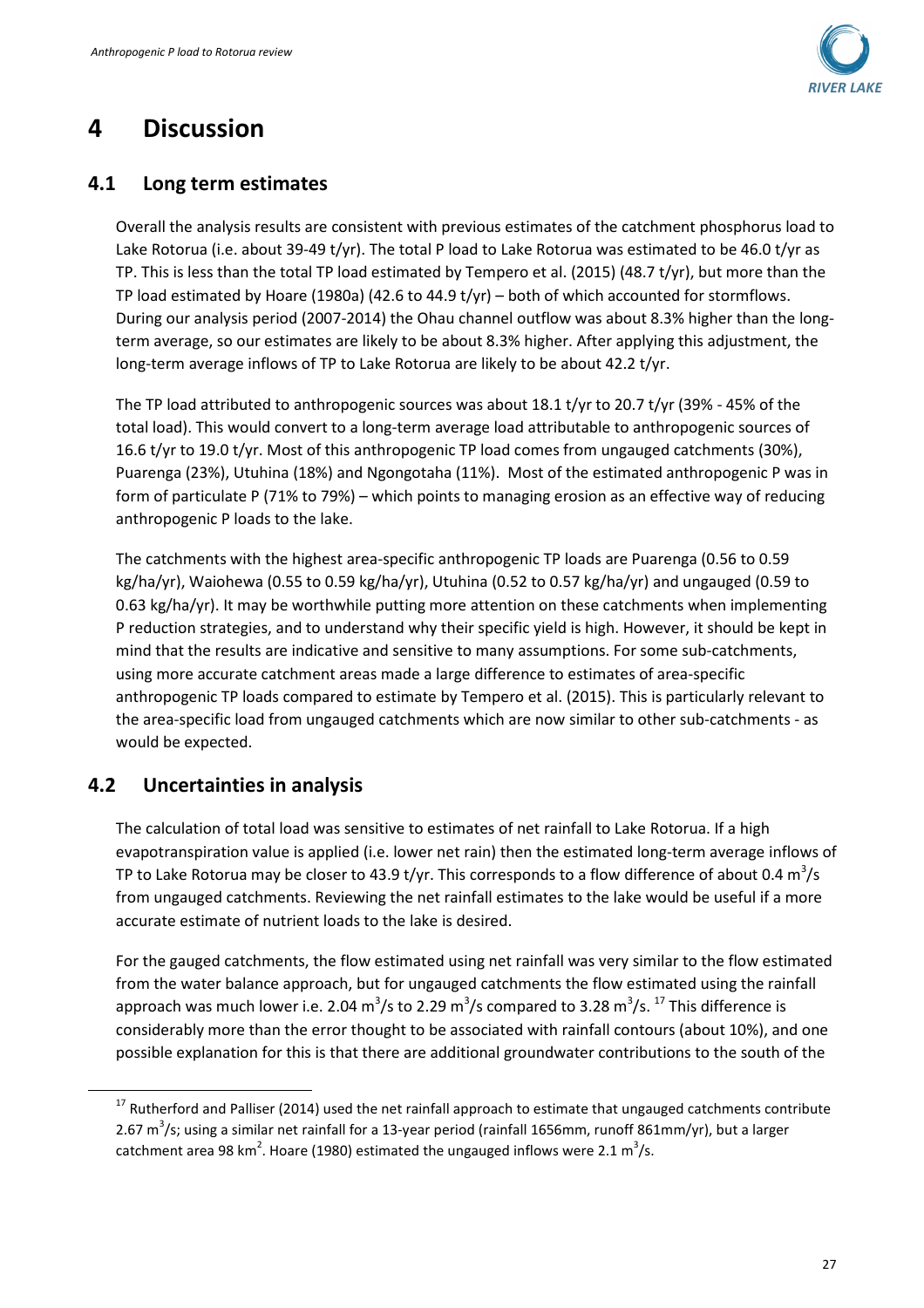

## **4 Discussion**

### **4.1 Long term estimates**

Overall the analysis results are consistent with previous estimates of the catchment phosphorus load to Lake Rotorua (i.e. about 39-49 t/yr). The total P load to Lake Rotorua was estimated to be 46.0 t/yr as TP. This is less than the total TP load estimated by Tempero et al. (2015) (48.7 t/yr), but more than the TP load estimated by Hoare (1980a) (42.6 to 44.9 t/yr) – both of which accounted for stormflows. During our analysis period (2007-2014) the Ohau channel outflow was about 8.3% higher than the longterm average, so our estimates are likely to be about 8.3% higher. After applying this adjustment, the long-term average inflows of TP to Lake Rotorua are likely to be about 42.2 t/yr.

The TP load attributed to anthropogenic sources was about 18.1 t/yr to 20.7 t/yr (39% - 45% of the total load). This would convert to a long-term average load attributable to anthropogenic sources of 16.6 t/yr to 19.0 t/yr. Most of this anthropogenic TP load comes from ungauged catchments (30%), Puarenga (23%), Utuhina (18%) and Ngongotaha (11%). Most of the estimated anthropogenic P was in form of particulate P (71% to 79%) – which points to managing erosion as an effective way of reducing anthropogenic P loads to the lake.

The catchments with the highest area-specific anthropogenic TP loads are Puarenga (0.56 to 0.59 kg/ha/yr), Waiohewa (0.55 to 0.59 kg/ha/yr), Utuhina (0.52 to 0.57 kg/ha/yr) and ungauged (0.59 to 0.63 kg/ha/yr). It may be worthwhile putting more attention on these catchments when implementing P reduction strategies, and to understand why their specific yield is high. However, it should be kept in mind that the results are indicative and sensitive to many assumptions. For some sub-catchments, using more accurate catchment areas made a large difference to estimates of area-specific anthropogenic TP loads compared to estimate by Tempero et al. (2015). This is particularly relevant to the area-specific load from ungauged catchments which are now similar to other sub-catchments - as would be expected.

## **4.2 Uncertainties in analysis**

l

The calculation of total load was sensitive to estimates of net rainfall to Lake Rotorua. If a high evapotranspiration value is applied (i.e. lower net rain) then the estimated long-term average inflows of TP to Lake Rotorua may be closer to 43.9 t/yr. This corresponds to a flow difference of about 0.4  $\text{m}^3\text{/s}$ from ungauged catchments. Reviewing the net rainfall estimates to the lake would be useful if a more accurate estimate of nutrient loads to the lake is desired.

For the gauged catchments, the flow estimated using net rainfall was very similar to the flow estimated from the water balance approach, but for ungauged catchments the flow estimated using the rainfall approach was much lower i.e. 2.04 m<sup>3</sup>/s to 2.29 m<sup>3</sup>/s compared to 3.28 m<sup>3</sup>/s. <sup>17</sup> This difference is considerably more than the error thought to be associated with rainfall contours (about 10%), and one possible explanation for this is that there are additional groundwater contributions to the south of the

<sup>&</sup>lt;sup>17</sup> Rutherford and Palliser (2014) used the net rainfall approach to estimate that ungauged catchments contribute 2.67 m<sup>3</sup>/s; using a similar net rainfall for a 13-year period (rainfall 1656mm, runoff 861mm/yr), but a larger catchment area 98 km<sup>2</sup>. Hoare (1980) estimated the ungauged inflows were 2.1 m<sup>3</sup>/s.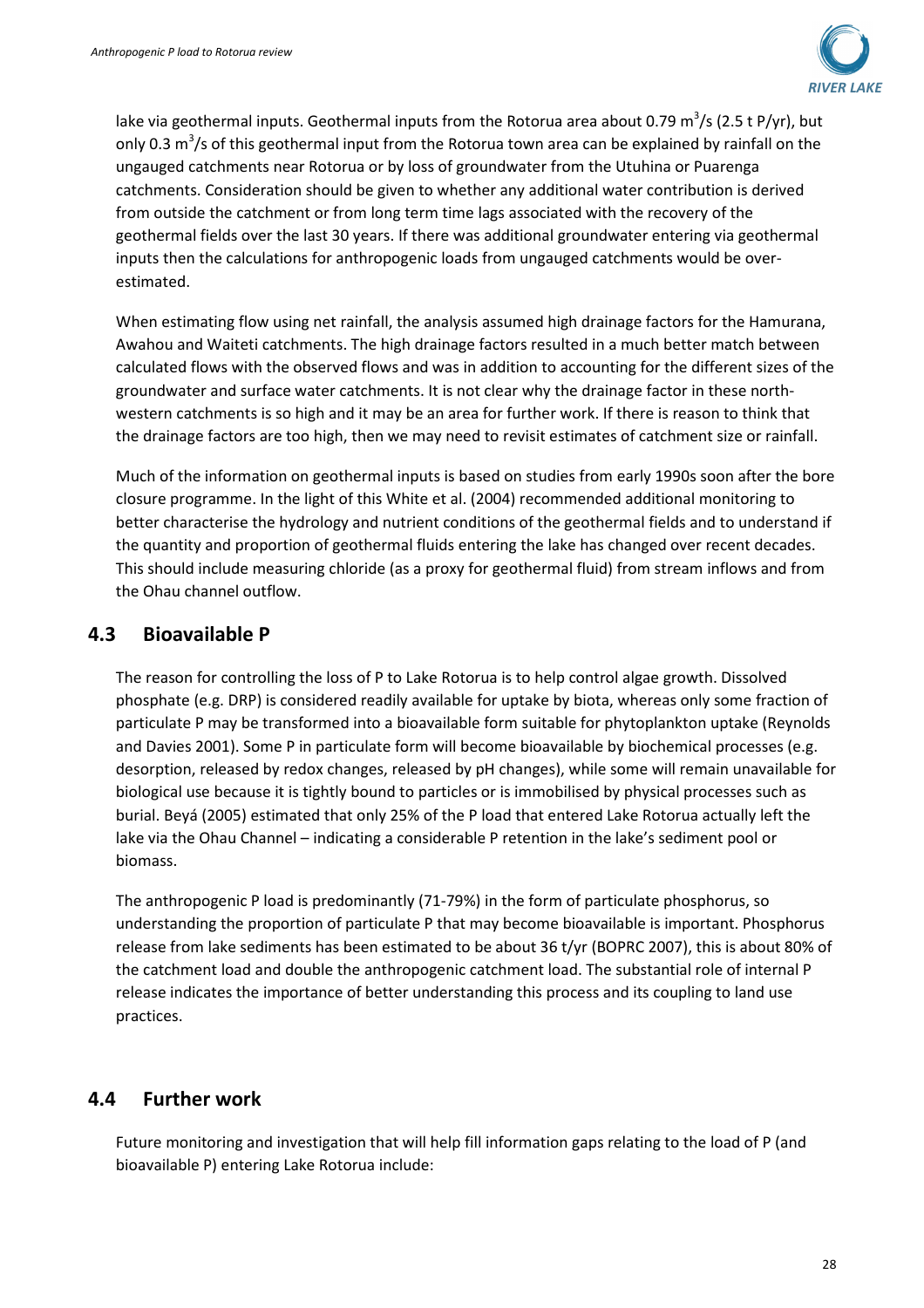

lake via geothermal inputs. Geothermal inputs from the Rotorua area about 0.79 m<sup>3</sup>/s (2.5 t P/yr), but only 0.3 m<sup>3</sup>/s of this geothermal input from the Rotorua town area can be explained by rainfall on the ungauged catchments near Rotorua or by loss of groundwater from the Utuhina or Puarenga catchments. Consideration should be given to whether any additional water contribution is derived from outside the catchment or from long term time lags associated with the recovery of the geothermal fields over the last 30 years. If there was additional groundwater entering via geothermal inputs then the calculations for anthropogenic loads from ungauged catchments would be overestimated.

When estimating flow using net rainfall, the analysis assumed high drainage factors for the Hamurana, Awahou and Waiteti catchments. The high drainage factors resulted in a much better match between calculated flows with the observed flows and was in addition to accounting for the different sizes of the groundwater and surface water catchments. It is not clear why the drainage factor in these northwestern catchments is so high and it may be an area for further work. If there is reason to think that the drainage factors are too high, then we may need to revisit estimates of catchment size or rainfall.

Much of the information on geothermal inputs is based on studies from early 1990s soon after the bore closure programme. In the light of this White et al. (2004) recommended additional monitoring to better characterise the hydrology and nutrient conditions of the geothermal fields and to understand if the quantity and proportion of geothermal fluids entering the lake has changed over recent decades. This should include measuring chloride (as a proxy for geothermal fluid) from stream inflows and from the Ohau channel outflow.

### **4.3 Bioavailable P**

The reason for controlling the loss of P to Lake Rotorua is to help control algae growth. Dissolved phosphate (e.g. DRP) is considered readily available for uptake by biota, whereas only some fraction of particulate P may be transformed into a bioavailable form suitable for phytoplankton uptake (Reynolds and Davies 2001). Some P in particulate form will become bioavailable by biochemical processes (e.g. desorption, released by redox changes, released by pH changes), while some will remain unavailable for biological use because it is tightly bound to particles or is immobilised by physical processes such as burial. Beyá (2005) estimated that only 25% of the P load that entered Lake Rotorua actually left the lake via the Ohau Channel – indicating a considerable P retention in the lake's sediment pool or biomass.

The anthropogenic P load is predominantly (71-79%) in the form of particulate phosphorus, so understanding the proportion of particulate P that may become bioavailable is important. Phosphorus release from lake sediments has been estimated to be about 36 t/yr (BOPRC 2007), this is about 80% of the catchment load and double the anthropogenic catchment load. The substantial role of internal P release indicates the importance of better understanding this process and its coupling to land use practices.

### **4.4 Further work**

Future monitoring and investigation that will help fill information gaps relating to the load of P (and bioavailable P) entering Lake Rotorua include: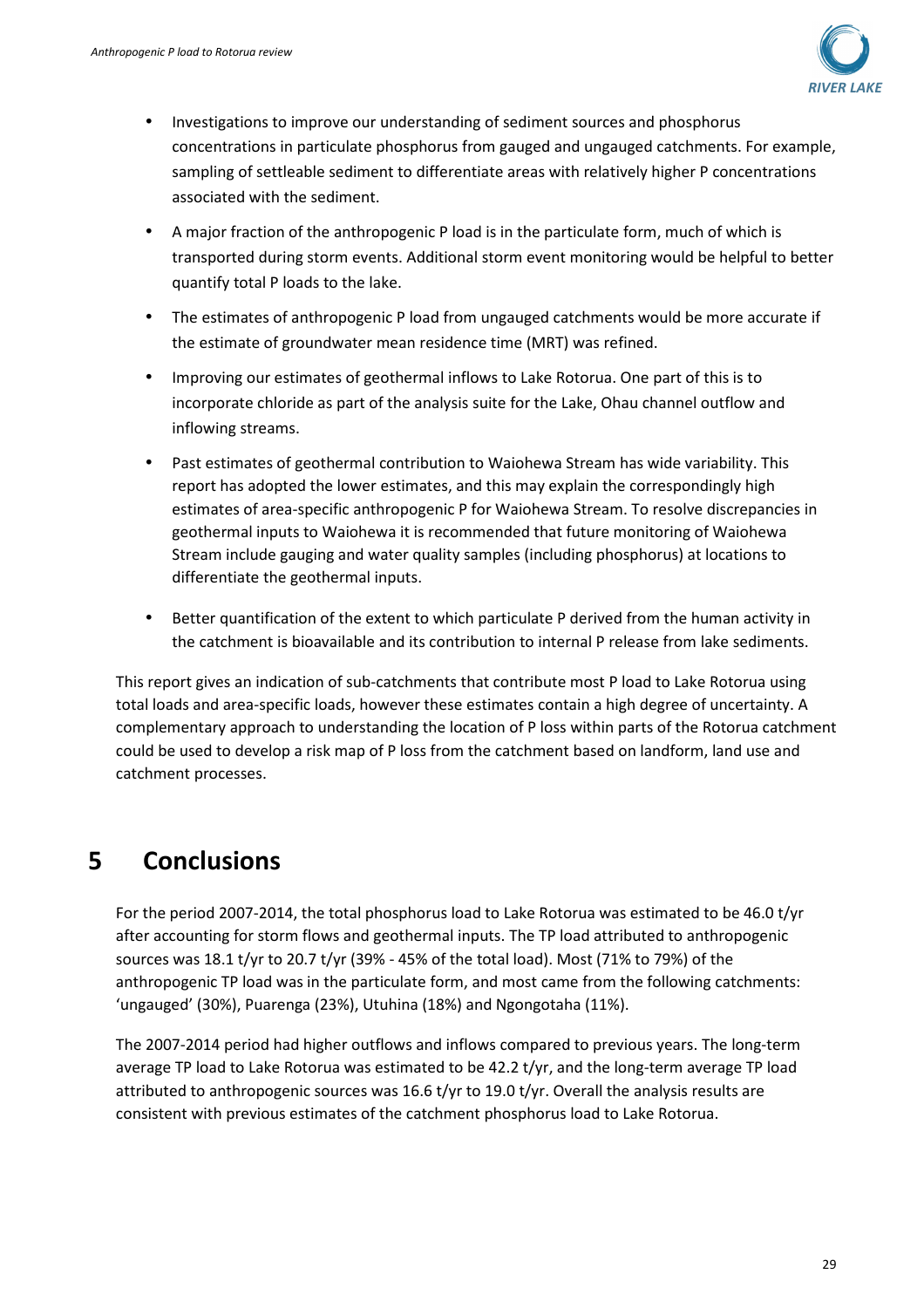

- Investigations to improve our understanding of sediment sources and phosphorus concentrations in particulate phosphorus from gauged and ungauged catchments. For example, sampling of settleable sediment to differentiate areas with relatively higher P concentrations associated with the sediment.
- A major fraction of the anthropogenic P load is in the particulate form, much of which is transported during storm events. Additional storm event monitoring would be helpful to better quantify total P loads to the lake.
- The estimates of anthropogenic P load from ungauged catchments would be more accurate if the estimate of groundwater mean residence time (MRT) was refined.
- Improving our estimates of geothermal inflows to Lake Rotorua. One part of this is to incorporate chloride as part of the analysis suite for the Lake, Ohau channel outflow and inflowing streams.
- Past estimates of geothermal contribution to Waiohewa Stream has wide variability. This report has adopted the lower estimates, and this may explain the correspondingly high estimates of area-specific anthropogenic P for Waiohewa Stream. To resolve discrepancies in geothermal inputs to Waiohewa it is recommended that future monitoring of Waiohewa Stream include gauging and water quality samples (including phosphorus) at locations to differentiate the geothermal inputs.
- Better quantification of the extent to which particulate P derived from the human activity in the catchment is bioavailable and its contribution to internal P release from lake sediments.

This report gives an indication of sub-catchments that contribute most P load to Lake Rotorua using total loads and area-specific loads, however these estimates contain a high degree of uncertainty. A complementary approach to understanding the location of P loss within parts of the Rotorua catchment could be used to develop a risk map of P loss from the catchment based on landform, land use and catchment processes.

## **5 Conclusions**

For the period 2007-2014, the total phosphorus load to Lake Rotorua was estimated to be 46.0 t/yr after accounting for storm flows and geothermal inputs. The TP load attributed to anthropogenic sources was 18.1 t/yr to 20.7 t/yr (39% - 45% of the total load). Most (71% to 79%) of the anthropogenic TP load was in the particulate form, and most came from the following catchments: 'ungauged' (30%), Puarenga (23%), Utuhina (18%) and Ngongotaha (11%).

The 2007-2014 period had higher outflows and inflows compared to previous years. The long-term average TP load to Lake Rotorua was estimated to be 42.2 t/yr, and the long-term average TP load attributed to anthropogenic sources was 16.6 t/yr to 19.0 t/yr. Overall the analysis results are consistent with previous estimates of the catchment phosphorus load to Lake Rotorua.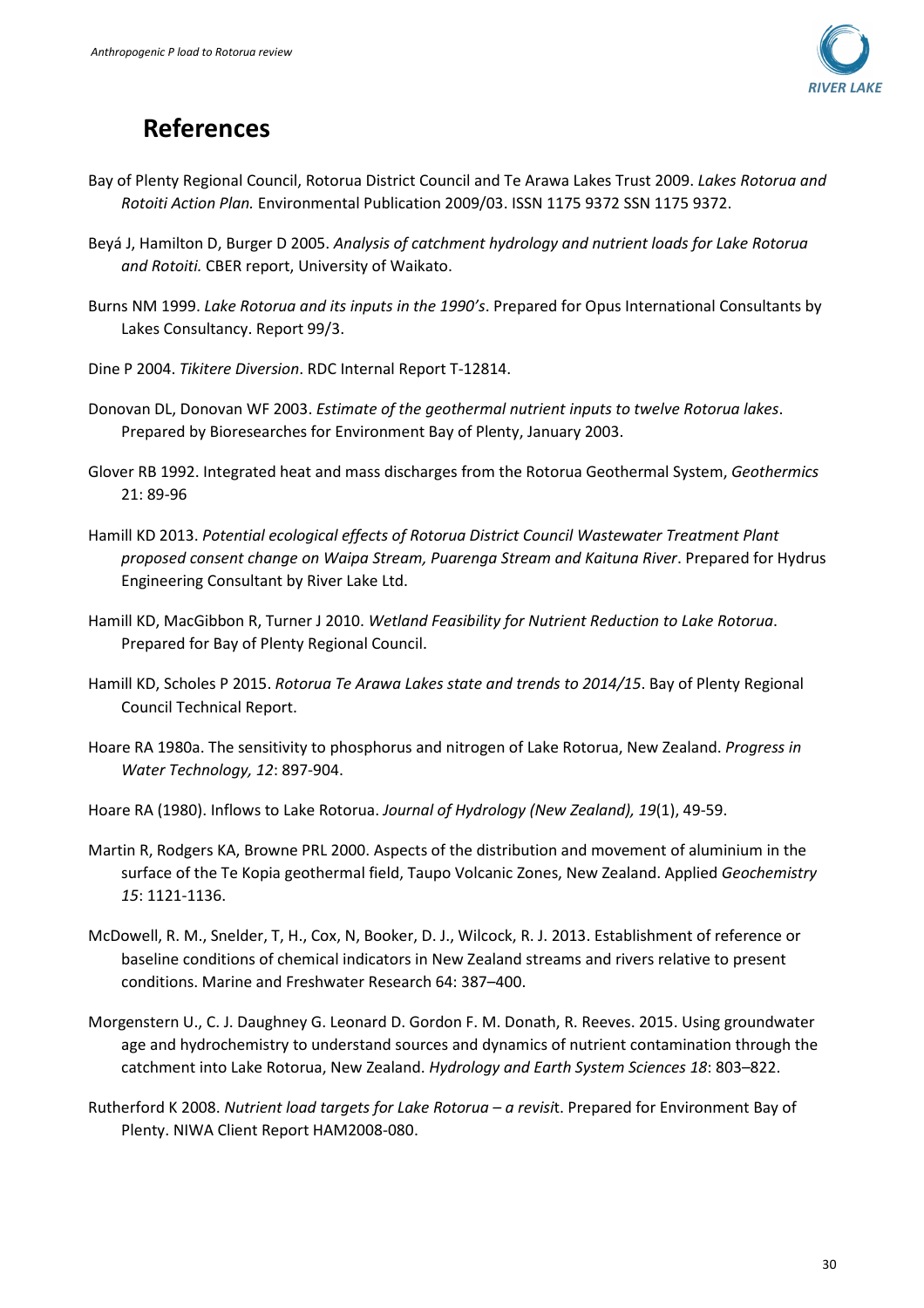

## **References**

- Bay of Plenty Regional Council, Rotorua District Council and Te Arawa Lakes Trust 2009. *Lakes Rotorua and Rotoiti Action Plan.* Environmental Publication 2009/03. ISSN 1175 9372 SSN 1175 9372.
- Beyá J, Hamilton D, Burger D 2005. *Analysis of catchment hydrology and nutrient loads for Lake Rotorua and Rotoiti.* CBER report, University of Waikato.
- Burns NM 1999. *Lake Rotorua and its inputs in the 1990's*. Prepared for Opus International Consultants by Lakes Consultancy. Report 99/3.
- Dine P 2004. *Tikitere Diversion*. RDC Internal Report T-12814.
- Donovan DL, Donovan WF 2003. *Estimate of the geothermal nutrient inputs to twelve Rotorua lakes*. Prepared by Bioresearches for Environment Bay of Plenty, January 2003.
- Glover RB 1992. Integrated heat and mass discharges from the Rotorua Geothermal System, *Geothermics* 21: 89-96
- Hamill KD 2013. *Potential ecological effects of Rotorua District Council Wastewater Treatment Plant proposed consent change on Waipa Stream, Puarenga Stream and Kaituna River*. Prepared for Hydrus Engineering Consultant by River Lake Ltd.
- Hamill KD, MacGibbon R, Turner J 2010. *Wetland Feasibility for Nutrient Reduction to Lake Rotorua*. Prepared for Bay of Plenty Regional Council.
- Hamill KD, Scholes P 2015. *Rotorua Te Arawa Lakes state and trends to 2014/15*. Bay of Plenty Regional Council Technical Report.
- Hoare RA 1980a. The sensitivity to phosphorus and nitrogen of Lake Rotorua, New Zealand. *Progress in Water Technology, 12*: 897-904.
- Hoare RA (1980). Inflows to Lake Rotorua. *Journal of Hydrology (New Zealand), 19*(1), 49-59.
- Martin R, Rodgers KA, Browne PRL 2000. Aspects of the distribution and movement of aluminium in the surface of the Te Kopia geothermal field, Taupo Volcanic Zones, New Zealand. Applied *Geochemistry 15*: 1121-1136.
- McDowell, R. M., Snelder, T, H., Cox, N, Booker, D. J., Wilcock, R. J. 2013. Establishment of reference or baseline conditions of chemical indicators in New Zealand streams and rivers relative to present conditions. Marine and Freshwater Research 64: 387–400.
- Morgenstern U., C. J. Daughney G. Leonard D. Gordon F. M. Donath, R. Reeves. 2015. Using groundwater age and hydrochemistry to understand sources and dynamics of nutrient contamination through the catchment into Lake Rotorua, New Zealand. *Hydrology and Earth System Sciences 18*: 803–822.
- Rutherford K 2008. *Nutrient load targets for Lake Rotorua a revisi*t. Prepared for Environment Bay of Plenty. NIWA Client Report HAM2008-080.